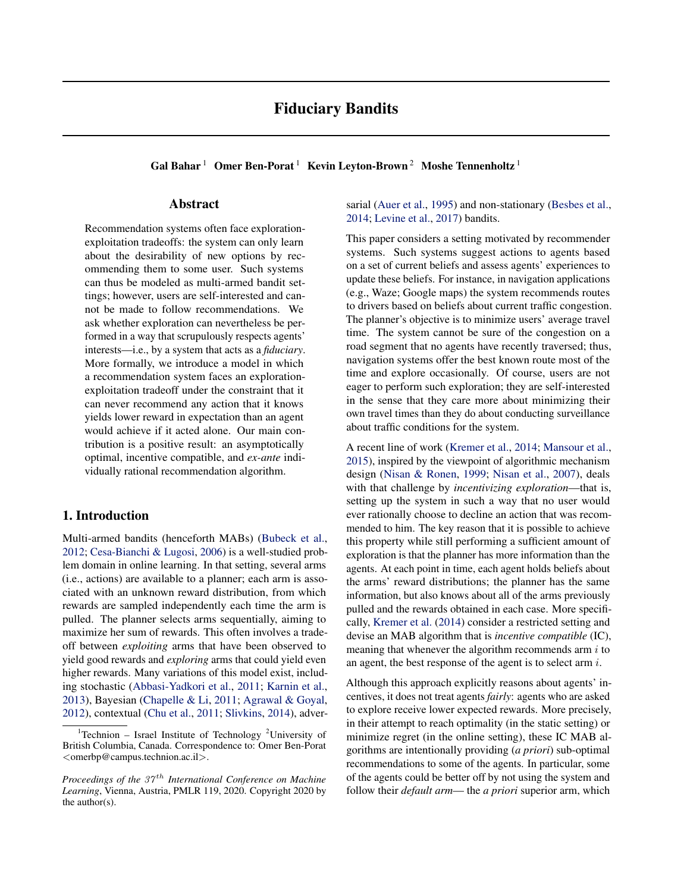# Fiduciary Bandits

Gal Bahar<sup>1</sup> Omer Ben-Porat<sup>1</sup> Kevin Leyton-Brown<sup>2</sup> Moshe Tennenholtz<sup>1</sup>

### Abstract

Recommendation systems often face explorationexploitation tradeoffs: the system can only learn about the desirability of new options by recommending them to some user. Such systems can thus be modeled as multi-armed bandit settings; however, users are self-interested and cannot be made to follow recommendations. We ask whether exploration can nevertheless be performed in a way that scrupulously respects agents' interests—i.e., by a system that acts as a *fiduciary*. More formally, we introduce a model in which a recommendation system faces an explorationexploitation tradeoff under the constraint that it can never recommend any action that it knows yields lower reward in expectation than an agent would achieve if it acted alone. Our main contribution is a positive result: an asymptotically optimal, incentive compatible, and *ex-ante* individually rational recommendation algorithm.

## 1. Introduction

Multi-armed bandits (henceforth MABs) [\(Bubeck et al.,](#page-9-0) [2012;](#page-9-0) [Cesa-Bianchi & Lugosi,](#page-9-0) [2006\)](#page-9-0) is a well-studied problem domain in online learning. In that setting, several arms (i.e., actions) are available to a planner; each arm is associated with an unknown reward distribution, from which rewards are sampled independently each time the arm is pulled. The planner selects arms sequentially, aiming to maximize her sum of rewards. This often involves a tradeoff between *exploiting* arms that have been observed to yield good rewards and *exploring* arms that could yield even higher rewards. Many variations of this model exist, including stochastic [\(Abbasi-Yadkori et al.,](#page-8-0) [2011;](#page-8-0) [Karnin et al.,](#page-9-0) [2013\)](#page-9-0), Bayesian [\(Chapelle & Li,](#page-9-0) [2011;](#page-9-0) [Agrawal & Goyal,](#page-8-0) [2012\)](#page-8-0), contextual [\(Chu et al.,](#page-9-0) [2011;](#page-9-0) [Slivkins,](#page-9-0) [2014\)](#page-9-0), adversarial [\(Auer et al.,](#page-8-0) [1995\)](#page-8-0) and non-stationary [\(Besbes et al.,](#page-8-0) [2014;](#page-8-0) [Levine et al.,](#page-9-0) [2017\)](#page-9-0) bandits.

This paper considers a setting motivated by recommender systems. Such systems suggest actions to agents based on a set of current beliefs and assess agents' experiences to update these beliefs. For instance, in navigation applications (e.g., Waze; Google maps) the system recommends routes to drivers based on beliefs about current traffic congestion. The planner's objective is to minimize users' average travel time. The system cannot be sure of the congestion on a road segment that no agents have recently traversed; thus, navigation systems offer the best known route most of the time and explore occasionally. Of course, users are not eager to perform such exploration; they are self-interested in the sense that they care more about minimizing their own travel times than they do about conducting surveillance about traffic conditions for the system.

A recent line of work [\(Kremer et al.,](#page-9-0) [2014;](#page-9-0) [Mansour et al.,](#page-9-0) [2015\)](#page-9-0), inspired by the viewpoint of algorithmic mechanism design [\(Nisan & Ronen,](#page-9-0) [1999;](#page-9-0) [Nisan et al.,](#page-9-0) [2007\)](#page-9-0), deals with that challenge by *incentivizing exploration*—that is, setting up the system in such a way that no user would ever rationally choose to decline an action that was recommended to him. The key reason that it is possible to achieve this property while still performing a sufficient amount of exploration is that the planner has more information than the agents. At each point in time, each agent holds beliefs about the arms' reward distributions; the planner has the same information, but also knows about all of the arms previously pulled and the rewards obtained in each case. More specifically, [Kremer et al.](#page-9-0) [\(2014\)](#page-9-0) consider a restricted setting and devise an MAB algorithm that is *incentive compatible* (IC), meaning that whenever the algorithm recommends arm  $i$  to an agent, the best response of the agent is to select arm i.

Although this approach explicitly reasons about agents' incentives, it does not treat agents *fairly*: agents who are asked to explore receive lower expected rewards. More precisely, in their attempt to reach optimality (in the static setting) or minimize regret (in the online setting), these IC MAB algorithms are intentionally providing (*a priori*) sub-optimal recommendations to some of the agents. In particular, some of the agents could be better off by not using the system and follow their *default arm*— the *a priori* superior arm, which

<sup>&</sup>lt;sup>1</sup>Technion – Israel Institute of Technology <sup>2</sup>University of British Columbia, Canada. Correspondence to: Omer Ben-Porat <omerbp@campus.technion.ac.il>.

*Proceedings of the 37<sup>th</sup> International Conference on Machine Learning*, Vienna, Austria, PMLR 119, 2020. Copyright 2020 by the author(s).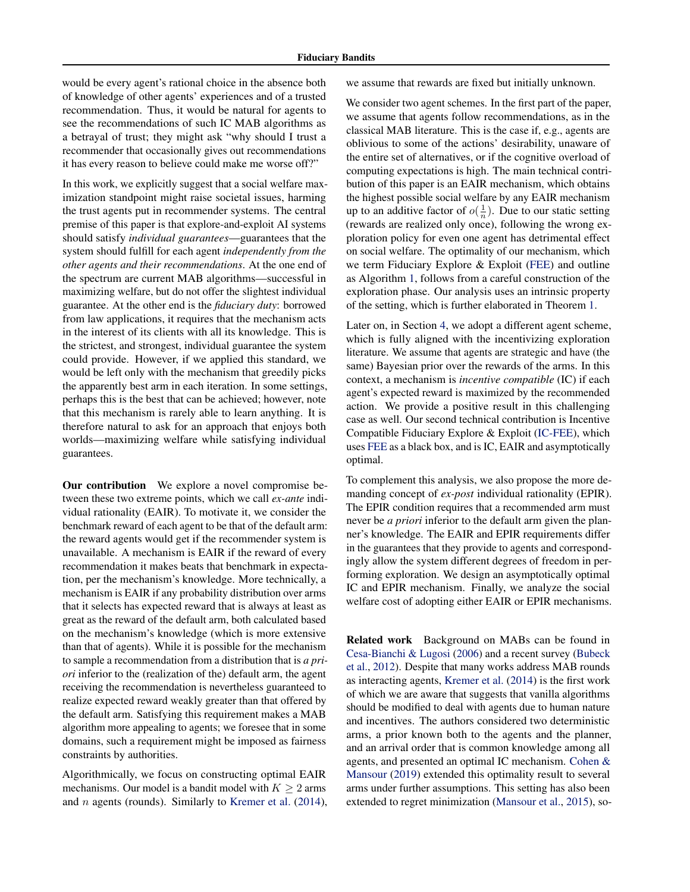would be every agent's rational choice in the absence both of knowledge of other agents' experiences and of a trusted recommendation. Thus, it would be natural for agents to see the recommendations of such IC MAB algorithms as a betrayal of trust; they might ask "why should I trust a recommender that occasionally gives out recommendations it has every reason to believe could make me worse off?"

In this work, we explicitly suggest that a social welfare maximization standpoint might raise societal issues, harming the trust agents put in recommender systems. The central premise of this paper is that explore-and-exploit AI systems should satisfy *individual guarantees*—guarantees that the system should fulfill for each agent *independently from the other agents and their recommendations*. At the one end of the spectrum are current MAB algorithms—successful in maximizing welfare, but do not offer the slightest individual guarantee. At the other end is the *fiduciary duty*: borrowed from law applications, it requires that the mechanism acts in the interest of its clients with all its knowledge. This is the strictest, and strongest, individual guarantee the system could provide. However, if we applied this standard, we would be left only with the mechanism that greedily picks the apparently best arm in each iteration. In some settings, perhaps this is the best that can be achieved; however, note that this mechanism is rarely able to learn anything. It is therefore natural to ask for an approach that enjoys both worlds—maximizing welfare while satisfying individual guarantees.

Our contribution We explore a novel compromise between these two extreme points, which we call *ex-ante* individual rationality (EAIR). To motivate it, we consider the benchmark reward of each agent to be that of the default arm: the reward agents would get if the recommender system is unavailable. A mechanism is EAIR if the reward of every recommendation it makes beats that benchmark in expectation, per the mechanism's knowledge. More technically, a mechanism is EAIR if any probability distribution over arms that it selects has expected reward that is always at least as great as the reward of the default arm, both calculated based on the mechanism's knowledge (which is more extensive than that of agents). While it is possible for the mechanism to sample a recommendation from a distribution that is *a priori* inferior to the (realization of the) default arm, the agent receiving the recommendation is nevertheless guaranteed to realize expected reward weakly greater than that offered by the default arm. Satisfying this requirement makes a MAB algorithm more appealing to agents; we foresee that in some domains, such a requirement might be imposed as fairness constraints by authorities.

Algorithmically, we focus on constructing optimal EAIR mechanisms. Our model is a bandit model with  $K > 2$  arms and n agents (rounds). Similarly to [Kremer et al.](#page-9-0) [\(2014\)](#page-9-0), we assume that rewards are fixed but initially unknown.

We consider two agent schemes. In the first part of the paper, we assume that agents follow recommendations, as in the classical MAB literature. This is the case if, e.g., agents are oblivious to some of the actions' desirability, unaware of the entire set of alternatives, or if the cognitive overload of computing expectations is high. The main technical contribution of this paper is an EAIR mechanism, which obtains the highest possible social welfare by any EAIR mechanism up to an additive factor of  $o(\frac{1}{n})$ . Due to our static setting (rewards are realized only once), following the wrong exploration policy for even one agent has detrimental effect on social welfare. The optimality of our mechanism, which we term Fiduciary Explore & Exploit [\(FEE\)](#page-6-0) and outline as Algorithm [1,](#page-6-0) follows from a careful construction of the exploration phase. Our analysis uses an intrinsic property of the setting, which is further elaborated in Theorem [1.](#page-5-0)

Later on, in Section [4,](#page-6-0) we adopt a different agent scheme, which is fully aligned with the incentivizing exploration literature. We assume that agents are strategic and have (the same) Bayesian prior over the rewards of the arms. In this context, a mechanism is *incentive compatible* (IC) if each agent's expected reward is maximized by the recommended action. We provide a positive result in this challenging case as well. Our second technical contribution is Incentive Compatible Fiduciary Explore & Exploit [\(IC-FEE\)](#page-7-0), which uses [FEE](#page-6-0) as a black box, and is IC, EAIR and asymptotically optimal.

To complement this analysis, we also propose the more demanding concept of *ex-post* individual rationality (EPIR). The EPIR condition requires that a recommended arm must never be *a priori* inferior to the default arm given the planner's knowledge. The EAIR and EPIR requirements differ in the guarantees that they provide to agents and correspondingly allow the system different degrees of freedom in performing exploration. We design an asymptotically optimal IC and EPIR mechanism. Finally, we analyze the social welfare cost of adopting either EAIR or EPIR mechanisms.

Related work Background on MABs can be found in [Cesa-Bianchi & Lugosi](#page-9-0) [\(2006\)](#page-9-0) and a recent survey [\(Bubeck](#page-9-0) [et al.,](#page-9-0) [2012\)](#page-9-0). Despite that many works address MAB rounds as interacting agents, [Kremer et al.](#page-9-0) [\(2014\)](#page-9-0) is the first work of which we are aware that suggests that vanilla algorithms should be modified to deal with agents due to human nature and incentives. The authors considered two deterministic arms, a prior known both to the agents and the planner, and an arrival order that is common knowledge among all agents, and presented an optimal IC mechanism. [Cohen &](#page-9-0) [Mansour](#page-9-0) [\(2019\)](#page-9-0) extended this optimality result to several arms under further assumptions. This setting has also been extended to regret minimization [\(Mansour et al.,](#page-9-0) [2015\)](#page-9-0), so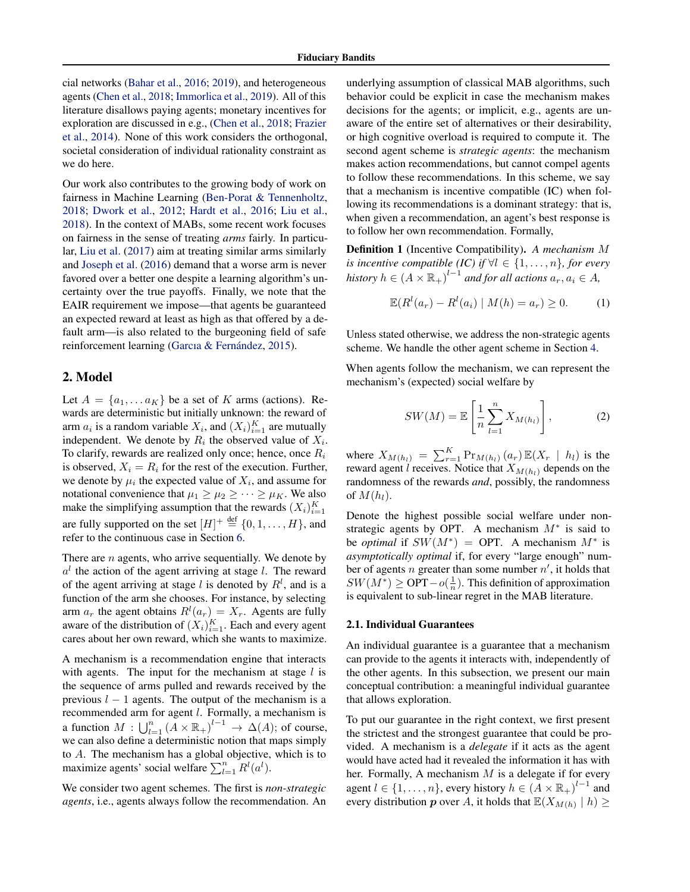<span id="page-2-0"></span>cial networks [\(Bahar et al.,](#page-8-0) [2016;](#page-8-0) [2019\)](#page-8-0), and heterogeneous agents [\(Chen et al.,](#page-9-0) [2018;](#page-9-0) [Immorlica et al.,](#page-9-0) [2019\)](#page-9-0). All of this literature disallows paying agents; monetary incentives for exploration are discussed in e.g., [\(Chen et al.,](#page-9-0) [2018;](#page-9-0) [Frazier](#page-9-0) [et al.,](#page-9-0) [2014\)](#page-9-0). None of this work considers the orthogonal, societal consideration of individual rationality constraint as we do here.

Our work also contributes to the growing body of work on fairness in Machine Learning [\(Ben-Porat & Tennenholtz,](#page-8-0) [2018;](#page-8-0) [Dwork et al.,](#page-9-0) [2012;](#page-9-0) [Hardt et al.,](#page-9-0) [2016;](#page-9-0) [Liu et al.,](#page-9-0) [2018\)](#page-9-0). In the context of MABs, some recent work focuses on fairness in the sense of treating *arms* fairly. In particular, [Liu et al.](#page-9-0) [\(2017\)](#page-9-0) aim at treating similar arms similarly and [Joseph et al.](#page-9-0) [\(2016\)](#page-9-0) demand that a worse arm is never favored over a better one despite a learning algorithm's uncertainty over the true payoffs. Finally, we note that the EAIR requirement we impose—that agents be guaranteed an expected reward at least as high as that offered by a default arm—is also related to the burgeoning field of safe reinforcement learning (Garcıa & Fernández, [2015\)](#page-9-0).

### 2. Model

Let  $A = \{a_1, \ldots a_K\}$  be a set of K arms (actions). Rewards are deterministic but initially unknown: the reward of arm  $a_i$  is a random variable  $X_i$ , and  $(X_i)_{i=1}^K$  are mutually independent. We denote by  $R_i$  the observed value of  $X_i$ . To clarify, rewards are realized only once; hence, once  $R_i$ is observed,  $X_i = R_i$  for the rest of the execution. Further, we denote by  $\mu_i$  the expected value of  $X_i$ , and assume for notational convenience that  $\mu_1 \geq \mu_2 \geq \cdots \geq \mu_K$ . We also make the simplifying assumption that the rewards  $(X_i)_{i=1}^K$ are fully supported on the set  $[H]^+ \stackrel{\text{def}}{=} \{0, 1, \ldots, H\}$ , and refer to the continuous case in Section [6.](#page-8-0)

There are  $n$  agents, who arrive sequentially. We denote by  $a<sup>l</sup>$  the action of the agent arriving at stage l. The reward of the agent arriving at stage l is denoted by  $R<sup>l</sup>$ , and is a function of the arm she chooses. For instance, by selecting arm  $a_r$  the agent obtains  $R^l(a_r) = X_r$ . Agents are fully aware of the distribution of  $(X_i)_{i=1}^K$ . Each and every agent cares about her own reward, which she wants to maximize.

A mechanism is a recommendation engine that interacts with agents. The input for the mechanism at stage  $l$  is the sequence of arms pulled and rewards received by the previous  $l - 1$  agents. The output of the mechanism is a recommended arm for agent l. Formally, a mechanism is a function  $M: \bigcup_{l=1}^n (A \times \mathbb{R}_+)^{l-1} \to \Delta(A)$ ; of course, we can also define a deterministic notion that maps simply to A. The mechanism has a global objective, which is to maximize agents' social welfare  $\sum_{l=1}^{n} R^{l}(a^{l}).$ 

We consider two agent schemes. The first is *non-strategic agents*, i.e., agents always follow the recommendation. An underlying assumption of classical MAB algorithms, such behavior could be explicit in case the mechanism makes decisions for the agents; or implicit, e.g., agents are unaware of the entire set of alternatives or their desirability, or high cognitive overload is required to compute it. The second agent scheme is *strategic agents*: the mechanism makes action recommendations, but cannot compel agents to follow these recommendations. In this scheme, we say that a mechanism is incentive compatible (IC) when following its recommendations is a dominant strategy: that is, when given a recommendation, an agent's best response is to follow her own recommendation. Formally,

Definition 1 (Incentive Compatibility). *A mechanism* M *is incentive compatible (IC) if*  $\forall l \in \{1, ..., n\}$ *, for every history*  $h \in (A \times \mathbb{R}_{+})^{l-1}$  and for all actions  $a_r, a_i \in A$ ,

$$
\mathbb{E}(R^{l}(a_{r}) - R^{l}(a_{i}) | M(h) = a_{r}) \ge 0.
$$
 (1)

Unless stated otherwise, we address the non-strategic agents scheme. We handle the other agent scheme in Section [4.](#page-6-0)

When agents follow the mechanism, we can represent the mechanism's (expected) social welfare by

$$
SW(M) = \mathbb{E}\left[\frac{1}{n}\sum_{l=1}^{n} X_{M(h_l)}\right],\tag{2}
$$

where  $X_{M(h_l)} = \sum_{r=1}^{K} Pr_{M(h_l)}(a_r) \mathbb{E}(X_r | h_l)$  is the reward agent *l* receives. Notice that  $X_{M(h_l)}$  depends on the randomness of the rewards *and*, possibly, the randomness of  $M(h_l)$ .

Denote the highest possible social welfare under nonstrategic agents by OPT. A mechanism  $M^*$  is said to be *optimal* if  $SW(M^*) = OPT$ . A mechanism  $M^*$  is *asymptotically optimal* if, for every "large enough" number of agents *n* greater than some number  $n'$ , it holds that  $SW(M^*) \geq \text{OPT} - o(\frac{1}{n})$ . This definition of approximation is equivalent to sub-linear regret in the MAB literature.

#### 2.1. Individual Guarantees

An individual guarantee is a guarantee that a mechanism can provide to the agents it interacts with, independently of the other agents. In this subsection, we present our main conceptual contribution: a meaningful individual guarantee that allows exploration.

To put our guarantee in the right context, we first present the strictest and the strongest guarantee that could be provided. A mechanism is a *delegate* if it acts as the agent would have acted had it revealed the information it has with her. Formally, A mechanism  $M$  is a delegate if for every agent  $l \in \{1, \ldots, n\}$ , every history  $h \in (A \times \mathbb{R}_+)^{l-1}$  and every distribution  $p$  over A, it holds that  $\mathbb{E}(X_{M(h)} | h) \geq$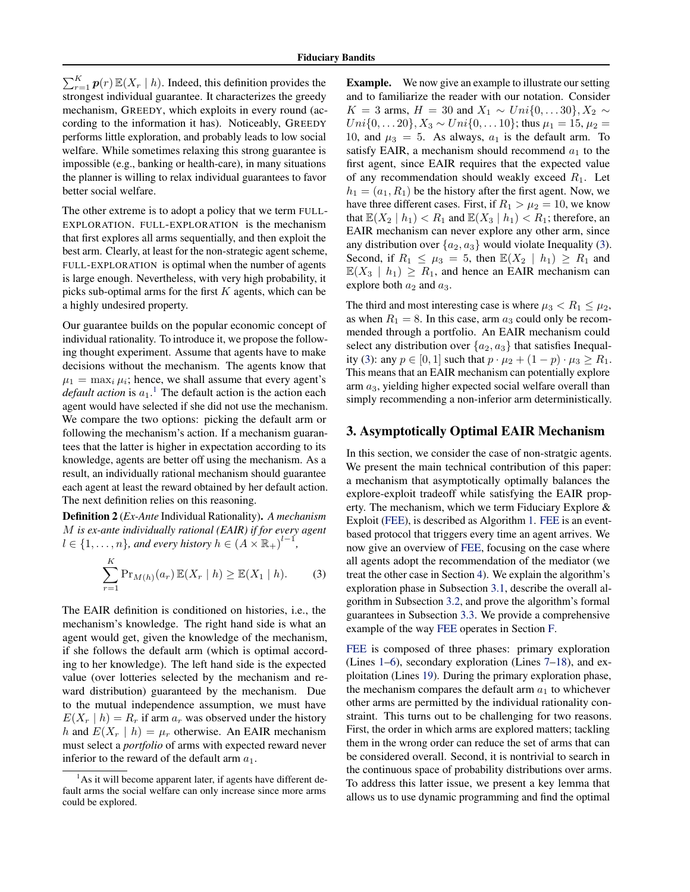<span id="page-3-0"></span> $\sum_{r=1}^{K} p(r) \mathbb{E}(X_r | h)$ . Indeed, this definition provides the strongest individual guarantee. It characterizes the greedy mechanism, GREEDY, which exploits in every round (according to the information it has). Noticeably, GREEDY performs little exploration, and probably leads to low social welfare. While sometimes relaxing this strong guarantee is impossible (e.g., banking or health-care), in many situations the planner is willing to relax individual guarantees to favor better social welfare.

The other extreme is to adopt a policy that we term FULL-EXPLORATION. FULL-EXPLORATION is the mechanism that first explores all arms sequentially, and then exploit the best arm. Clearly, at least for the non-strategic agent scheme, FULL-EXPLORATION is optimal when the number of agents is large enough. Nevertheless, with very high probability, it picks sub-optimal arms for the first  $K$  agents, which can be a highly undesired property.

Our guarantee builds on the popular economic concept of individual rationality. To introduce it, we propose the following thought experiment. Assume that agents have to make decisions without the mechanism. The agents know that  $\mu_1 = \max_i \mu_i$ ; hence, we shall assume that every agent's *default action* is  $a_1$ .<sup>1</sup> The default action is the action each agent would have selected if she did not use the mechanism. We compare the two options: picking the default arm or following the mechanism's action. If a mechanism guarantees that the latter is higher in expectation according to its knowledge, agents are better off using the mechanism. As a result, an individually rational mechanism should guarantee each agent at least the reward obtained by her default action. The next definition relies on this reasoning.

Definition 2 (*Ex-Ante* Individual Rationality). *A mechanism* M *is ex-ante individually rational (EAIR) if for every agent*  $l \in \{1, \ldots, n\}$ , and every history  $h \in (A \times \mathbb{R}_+)^{l-1}$ ,

$$
\sum_{r=1}^{K} \Pr_{M(h)}(a_r) \mathbb{E}(X_r \mid h) \ge \mathbb{E}(X_1 \mid h). \tag{3}
$$

The EAIR definition is conditioned on histories, i.e., the mechanism's knowledge. The right hand side is what an agent would get, given the knowledge of the mechanism, if she follows the default arm (which is optimal according to her knowledge). The left hand side is the expected value (over lotteries selected by the mechanism and reward distribution) guaranteed by the mechanism. Due to the mutual independence assumption, we must have  $E(X_r | h) = R_r$  if arm  $a_r$  was observed under the history h and  $E(X_r | h) = \mu_r$  otherwise. An EAIR mechanism must select a *portfolio* of arms with expected reward never inferior to the reward of the default arm  $a_1$ .

Example. We now give an example to illustrate our setting and to familiarize the reader with our notation. Consider  $K = 3$  arms,  $H = 30$  and  $X_1 \sim Uni{0, \ldots 30}, X_2 \sim$  $Uni\{0, \ldots 20\}, X_3 \sim Uni\{0, \ldots 10\}$ ; thus  $\mu_1 = 15, \mu_2 =$ 10, and  $\mu_3 = 5$ . As always,  $a_1$  is the default arm. To satisfy EAIR, a mechanism should recommend  $a_1$  to the first agent, since EAIR requires that the expected value of any recommendation should weakly exceed  $R_1$ . Let  $h_1 = (a_1, R_1)$  be the history after the first agent. Now, we have three different cases. First, if  $R_1 > \mu_2 = 10$ , we know that  $\mathbb{E}(X_2 | h_1) < R_1$  and  $\mathbb{E}(X_3 | h_1) < R_1$ ; therefore, an EAIR mechanism can never explore any other arm, since any distribution over  $\{a_2, a_3\}$  would violate Inequality (3). Second, if  $R_1 \leq \mu_3 = 5$ , then  $\mathbb{E}(X_2 | h_1) \geq R_1$  and  $\mathbb{E}(X_3 | h_1) \ge R_1$ , and hence an EAIR mechanism can explore both  $a_2$  and  $a_3$ .

The third and most interesting case is where  $\mu_3 < R_1 \leq \mu_2$ , as when  $R_1 = 8$ . In this case, arm  $a_3$  could only be recommended through a portfolio. An EAIR mechanism could select any distribution over  $\{a_2, a_3\}$  that satisfies Inequality (3): any  $p \in [0, 1]$  such that  $p \cdot \mu_2 + (1 - p) \cdot \mu_3 \ge R_1$ . This means that an EAIR mechanism can potentially explore arm  $a_3$ , yielding higher expected social welfare overall than simply recommending a non-inferior arm deterministically.

### 3. Asymptotically Optimal EAIR Mechanism

In this section, we consider the case of non-stratgic agents. We present the main technical contribution of this paper: a mechanism that asymptotically optimally balances the explore-exploit tradeoff while satisfying the EAIR property. The mechanism, which we term Fiduciary Explore & Exploit [\(FEE\)](#page-6-0), is described as Algorithm [1.](#page-6-0) [FEE](#page-6-0) is an eventbased protocol that triggers every time an agent arrives. We now give an overview of [FEE,](#page-6-0) focusing on the case where all agents adopt the recommendation of the mediator (we treat the other case in Section [4\)](#page-6-0). We explain the algorithm's exploration phase in Subsection [3.1,](#page-4-0) describe the overall algorithm in Subsection [3.2,](#page-5-0) and prove the algorithm's formal guarantees in Subsection [3.3.](#page-6-0) We provide a comprehensive example of the way [FEE](#page-6-0) operates in Section [F.](#page-24-0)

[FEE](#page-6-0) is composed of three phases: primary exploration (Lines [1–6\)](#page-6-0), secondary exploration (Lines [7–18\)](#page-6-0), and exploitation (Lines [19\)](#page-6-0). During the primary exploration phase, the mechanism compares the default arm  $a_1$  to whichever other arms are permitted by the individual rationality constraint. This turns out to be challenging for two reasons. First, the order in which arms are explored matters; tackling them in the wrong order can reduce the set of arms that can be considered overall. Second, it is nontrivial to search in the continuous space of probability distributions over arms. To address this latter issue, we present a key lemma that allows us to use dynamic programming and find the optimal

 $<sup>1</sup>$ As it will become apparent later, if agents have different de-</sup> fault arms the social welfare can only increase since more arms could be explored.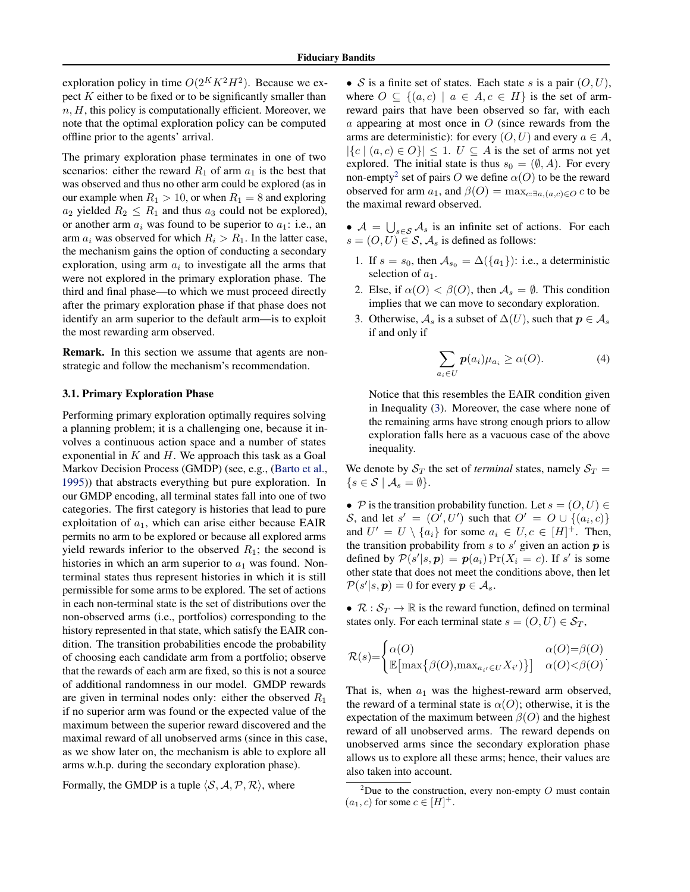<span id="page-4-0"></span>exploration policy in time  $O(2^K K^2 H^2)$ . Because we expect  $K$  either to be fixed or to be significantly smaller than  $n, H$ , this policy is computationally efficient. Moreover, we note that the optimal exploration policy can be computed offline prior to the agents' arrival.

The primary exploration phase terminates in one of two scenarios: either the reward  $R_1$  of arm  $a_1$  is the best that was observed and thus no other arm could be explored (as in our example when  $R_1 > 10$ , or when  $R_1 = 8$  and exploring  $a_2$  yielded  $R_2 \leq R_1$  and thus  $a_3$  could not be explored), or another arm  $a_i$  was found to be superior to  $a_1$ : i.e., an arm  $a_i$  was observed for which  $R_i > R_1$ . In the latter case, the mechanism gains the option of conducting a secondary exploration, using arm  $a_i$  to investigate all the arms that were not explored in the primary exploration phase. The third and final phase—to which we must proceed directly after the primary exploration phase if that phase does not identify an arm superior to the default arm—is to exploit the most rewarding arm observed.

Remark. In this section we assume that agents are nonstrategic and follow the mechanism's recommendation.

#### 3.1. Primary Exploration Phase

Performing primary exploration optimally requires solving a planning problem; it is a challenging one, because it involves a continuous action space and a number of states exponential in  $K$  and  $H$ . We approach this task as a Goal Markov Decision Process (GMDP) (see, e.g., [\(Barto et al.,](#page-8-0) [1995\)](#page-8-0)) that abstracts everything but pure exploration. In our GMDP encoding, all terminal states fall into one of two categories. The first category is histories that lead to pure exploitation of  $a_1$ , which can arise either because EAIR permits no arm to be explored or because all explored arms yield rewards inferior to the observed  $R_1$ ; the second is histories in which an arm superior to  $a_1$  was found. Nonterminal states thus represent histories in which it is still permissible for some arms to be explored. The set of actions in each non-terminal state is the set of distributions over the non-observed arms (i.e., portfolios) corresponding to the history represented in that state, which satisfy the EAIR condition. The transition probabilities encode the probability of choosing each candidate arm from a portfolio; observe that the rewards of each arm are fixed, so this is not a source of additional randomness in our model. GMDP rewards are given in terminal nodes only: either the observed  $R_1$ if no superior arm was found or the expected value of the maximum between the superior reward discovered and the maximal reward of all unobserved arms (since in this case, as we show later on, the mechanism is able to explore all arms w.h.p. during the secondary exploration phase).

Formally, the GMDP is a tuple  $\langle S, A, P, R \rangle$ , where

• S is a finite set of states. Each state s is a pair  $(0, U)$ , where  $O \subseteq \{(a, c) \mid a \in A, c \in H\}$  is the set of armreward pairs that have been observed so far, with each  $a$  appearing at most once in  $O$  (since rewards from the arms are deterministic): for every  $(O, U)$  and every  $a \in A$ ,  $|\{c \mid (a, c) \in O\}| \leq 1$ .  $U \subseteq A$  is the set of arms not yet explored. The initial state is thus  $s_0 = (\emptyset, A)$ . For every non-empty<sup>2</sup> set of pairs O we define  $\alpha(O)$  to be the reward observed for arm  $a_1$ , and  $\beta(O) = \max_{c: \exists a_i(a,c) \in O} c$  to be the maximal reward observed.

- $A = \bigcup_{s \in \mathcal{S}} A_s$  is an infinite set of actions. For each  $s = (O, U) \in S$ ,  $\mathcal{A}_s$  is defined as follows:
	- 1. If  $s = s_0$ , then  $A_{s_0} = \Delta({a_1})$ : i.e., a deterministic selection of  $a_1$ .
	- 2. Else, if  $\alpha(O) < \beta(O)$ , then  $\mathcal{A}_s = \emptyset$ . This condition implies that we can move to secondary exploration.
	- 3. Otherwise,  $\mathcal{A}_s$  is a subset of  $\Delta(U)$ , such that  $p \in \mathcal{A}_s$ if and only if

$$
\sum_{a_i \in U} p(a_i) \mu_{a_i} \ge \alpha(O). \tag{4}
$$

Notice that this resembles the EAIR condition given in Inequality [\(3\)](#page-3-0). Moreover, the case where none of the remaining arms have strong enough priors to allow exploration falls here as a vacuous case of the above inequality.

We denote by  $S_T$  the set of *terminal* states, namely  $S_T$  =  $\{s \in \mathcal{S} \mid \mathcal{A}_s = \emptyset\}.$ 

• P is the transition probability function. Let  $s = (O, U) \in$ S, and let  $s' = (O', U')$  such that  $O' = O \cup \{(a_i, c)\}\$ and  $U' = U \setminus \{a_i\}$  for some  $a_i \in U, c \in [H]^+$ . Then, the transition probability from  $s$  to  $s'$  given an action  $p$  is defined by  $\mathcal{P}(s'|s, p) = p(a_i) \Pr(X_i = c)$ . If s' is some other state that does not meet the conditions above, then let  $\mathcal{P}(s'|s, \boldsymbol{p}) = 0$  for every  $\boldsymbol{p} \in \mathcal{A}_s$ .

•  $\mathcal{R}: \mathcal{S}_T \to \mathbb{R}$  is the reward function, defined on terminal states only. For each terminal state  $s = (O, U) \in S_T$ ,

$$
\mathcal{R}(s) = \begin{cases} \alpha(O) & \alpha(O) = \beta(O) \\ \mathbb{E} \left[ \max \{ \beta(O), \max_{a_{i'} \in U} X_{i'} \} \} \right] & \alpha(O) < \beta(O) \end{cases}.
$$

That is, when  $a_1$  was the highest-reward arm observed, the reward of a terminal state is  $\alpha(O)$ ; otherwise, it is the expectation of the maximum between  $\beta(O)$  and the highest reward of all unobserved arms. The reward depends on unobserved arms since the secondary exploration phase allows us to explore all these arms; hence, their values are also taken into account.

<sup>&</sup>lt;sup>2</sup>Due to the construction, every non-empty  $O$  must contain  $(a_1, c)$  for some  $c \in [H]^+$ .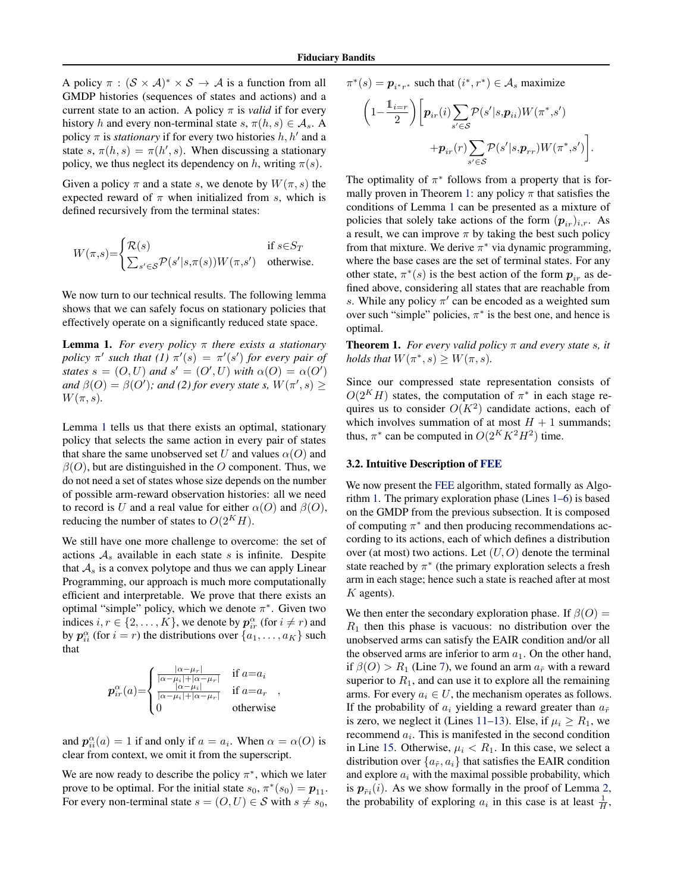<span id="page-5-0"></span>A policy  $\pi : (\mathcal{S} \times \mathcal{A})^* \times \mathcal{S} \rightarrow \mathcal{A}$  is a function from all GMDP histories (sequences of states and actions) and a current state to an action. A policy  $\pi$  is *valid* if for every history h and every non-terminal state  $s, \pi(h, s) \in A_s$ . A policy  $\pi$  is *stationary* if for every two histories  $h, h'$  and a state s,  $\pi(h, s) = \pi(h', s)$ . When discussing a stationary policy, we thus neglect its dependency on h, writing  $\pi(s)$ .

Given a policy  $\pi$  and a state s, we denote by  $W(\pi, s)$  the expected reward of  $\pi$  when initialized from s, which is defined recursively from the terminal states:

$$
W(\pi, s) = \begin{cases} \mathcal{R}(s) & \text{if } s \in S_T \\ \sum_{s' \in \mathcal{S}} \mathcal{P}(s'|s, \pi(s)) W(\pi, s') & \text{otherwise.} \end{cases}
$$

We now turn to our technical results. The following lemma shows that we can safely focus on stationary policies that effectively operate on a significantly reduced state space.

Lemma 1. *For every policy* π *there exists a stationary policy*  $\pi'$  *such that* (1)  $\pi'(s) = \pi'(s')$  *for every pair of states*  $s = (O, U)$  *and*  $s' = (O', U)$  *with*  $\alpha(O) = \alpha(O')$ and  $\beta$ (O) =  $\beta$ (O'); and (2) for every state s,  $W(\pi', s) \ge$  $W(\pi, s)$ .

Lemma 1 tells us that there exists an optimal, stationary policy that selects the same action in every pair of states that share the same unobserved set U and values  $\alpha(O)$  and  $\beta$ (O), but are distinguished in the O component. Thus, we do not need a set of states whose size depends on the number of possible arm-reward observation histories: all we need to record is U and a real value for either  $\alpha(O)$  and  $\beta(O)$ , reducing the number of states to  $O(2^KH)$ .

We still have one more challenge to overcome: the set of actions  $A_s$  available in each state s is infinite. Despite that  $A_s$  is a convex polytope and thus we can apply Linear Programming, our approach is much more computationally efficient and interpretable. We prove that there exists an optimal "simple" policy, which we denote  $\pi^*$ . Given two indices  $i, r \in \{2, ..., K\}$ , we denote by  $p_{ir}^{\alpha}$  (for  $i \neq r$ ) and by  $p_{ii}^{\alpha}$  (for  $i = r$ ) the distributions over  $\{a_1, \dots, a_K\}$  such that

$$
p_{ir}^{\alpha}(a) = \begin{cases} \frac{|\alpha - \mu_r|}{|\alpha - \mu_i| + |\alpha - \mu_r|} & \text{if } a = a_i\\ \frac{|\alpha - \mu_i|}{|\alpha - \mu_i| + |\alpha - \mu_r|} & \text{if } a = a_r\\ 0 & \text{otherwise} \end{cases}
$$

and  $p_{ii}^{\alpha}(a) = 1$  if and only if  $a = a_i$ . When  $\alpha = \alpha(0)$  is clear from context, we omit it from the superscript.

We are now ready to describe the policy  $\pi^*$ , which we later prove to be optimal. For the initial state  $s_0$ ,  $\pi^*(s_0) = p_{11}$ . For every non-terminal state  $s = (O, U) \in S$  with  $s \neq s_0$ ,

$$
\pi^*(s) = \boldsymbol{p}_{i^*r^*} \text{ such that } (i^*, r^*) \in \mathcal{A}_s \text{ maximize}
$$

$$
\begin{aligned} \bigg(1-\frac{1}{2}\bigg)\bigg[p_{ir}(i)&\sum_{s'\in\mathcal{S}}\mathcal{P}(s'|s,\pmb{p}_{ii})W(\pi^*,s')\\&+\pmb{p}_{ir}(r)\sum_{s'\in\mathcal{S}}\mathcal{P}(s'|s,\pmb{p}_{rr})W(\pi^*,s')\bigg]. \end{aligned}
$$

The optimality of  $\pi^*$  follows from a property that is formally proven in Theorem 1: any policy  $\pi$  that satisfies the conditions of Lemma 1 can be presented as a mixture of policies that solely take actions of the form  $(p_{ir})_{i,r}$ . As a result, we can improve  $\pi$  by taking the best such policy from that mixture. We derive  $\pi^*$  via dynamic programming, where the base cases are the set of terminal states. For any other state,  $\pi^*(s)$  is the best action of the form  $p_{ir}$  as defined above, considering all states that are reachable from s. While any policy  $\pi'$  can be encoded as a weighted sum over such "simple" policies,  $\pi^*$  is the best one, and hence is optimal.

**Theorem 1.** *For every valid policy*  $\pi$  *and every state s, it holds that*  $W(\pi^*, s) \geq W(\pi, s)$ *.* 

Since our compressed state representation consists of  $O(2^KH)$  states, the computation of  $\pi^*$  in each stage requires us to consider  $O(K^2)$  candidate actions, each of which involves summation of at most  $H + 1$  summands; thus,  $\pi^*$  can be computed in  $O(2^K K^2 H^2)$  time.

#### 3.2. Intuitive Description of [FEE](#page-6-0)

We now present the [FEE](#page-6-0) algorithm, stated formally as Algorithm [1.](#page-6-0) The primary exploration phase (Lines [1–6\)](#page-6-0) is based on the GMDP from the previous subsection. It is composed of computing  $\pi^*$  and then producing recommendations according to its actions, each of which defines a distribution over (at most) two actions. Let  $(U, O)$  denote the terminal state reached by  $\pi^*$  (the primary exploration selects a fresh arm in each stage; hence such a state is reached after at most  $K$  agents).

We then enter the secondary exploration phase. If  $\beta(O)$  =  $R_1$  then this phase is vacuous: no distribution over the unobserved arms can satisfy the EAIR condition and/or all the observed arms are inferior to arm  $a_1$ . On the other hand, if  $\beta(O) > R_1$  (Line [7\)](#page-6-0), we found an arm  $a_{\tilde{r}}$  with a reward superior to  $R_1$ , and can use it to explore all the remaining arms. For every  $a_i \in U$ , the mechanism operates as follows. If the probability of  $a_i$  yielding a reward greater than  $a_{\tilde{r}}$ is zero, we neglect it (Lines [11–13\)](#page-6-0). Else, if  $\mu_i \ge R_1$ , we recommend  $a_i$ . This is manifested in the second condition in Line [15.](#page-6-0) Otherwise,  $\mu_i < R_1$ . In this case, we select a distribution over  $\{a_{\tilde{r}}, a_i\}$  that satisfies the EAIR condition and explore  $a_i$  with the maximal possible probability, which is  $p_{\tilde{r}i}(i)$ . As we show formally in the proof of Lemma [2,](#page-6-0) the probability of exploring  $a_i$  in this case is at least  $\frac{1}{H}$ ,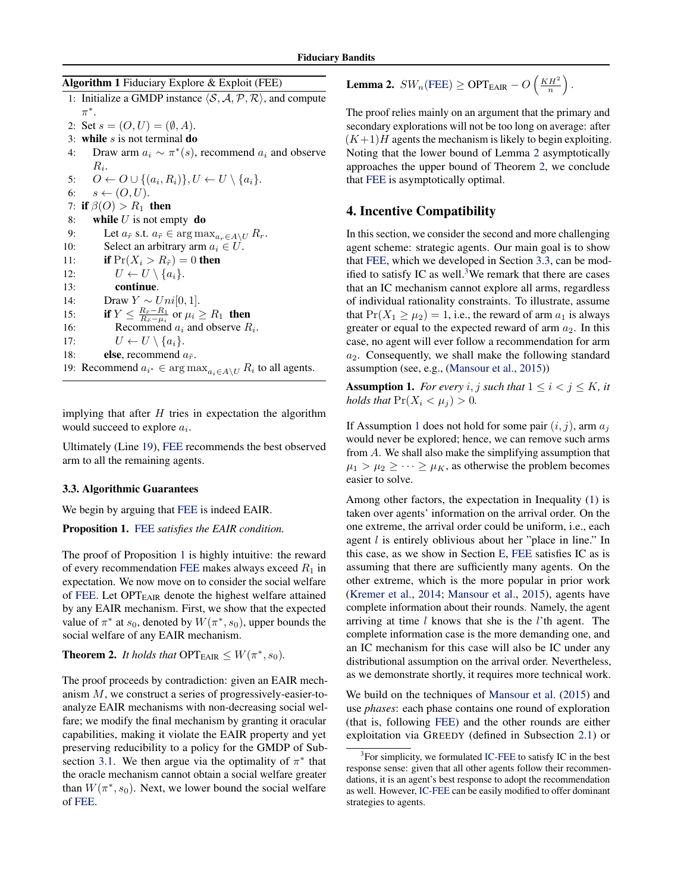<span id="page-6-0"></span>Algorithm 1 Fiduciary Explore & Exploit (FEE)

- 1: Initialize a GMDP instance  $\langle S, A, P, R \rangle$ , and compute  $\pi^*$ . 2: Set  $s = (O, U) = (\emptyset, A)$ .
- 3: while  $s$  is not terminal do
- 4: Draw arm  $a_i \sim \pi^*(s)$ , recommend  $a_i$  and observe  $R_i$ .

5:  $O \leftarrow O \cup \{(a_i, R_i)\}, U \leftarrow U \setminus \{a_i\}.$ 6:  $s \leftarrow (O, U)$ . 7: if  $\beta(O) > R_1$  then 8: while  $U$  is not empty do 9: Let  $a_{\tilde{r}}$  s.t.  $a_{\tilde{r}} \in \arg \max_{a_r \in A \setminus U} R_r$ .<br>10: Select an arbitrary arm  $a_i \in U$ . Select an arbitrary arm  $a_i \in U$ . 11: **if**  $Pr(X_i > R_{\tilde{r}}) = 0$  then 12:  $U \leftarrow U \setminus \{a_i\}.$ 13: continue. 14: Draw  $Y \sim Uni[0, 1].$ 15: if  $Y \leq \frac{R_{\tilde{r}}-R_1}{R_{\tilde{r}}-\mu_i}$  or  $\mu_i \geq R_1$  then 16: Recommend  $a_i$  and observe  $R_i$ . 17:  $U \leftarrow U \setminus \{a_i\}.$ 18: **else**, recommend  $a_{\tilde{r}}$ . 19: Recommend  $a_{i^*} \in \arg \max_{a_i \in A \setminus U} R_i$  to all agents.

implying that after  $H$  tries in expectation the algorithm would succeed to explore  $a_i$ .

Ultimately (Line 19), FEE recommends the best observed arm to all the remaining agents.

#### 3.3. Algorithmic Guarantees

We begin by arguing that FEE is indeed EAIR.

Proposition 1. FEE *satisfies the EAIR condition.*

The proof of Proposition 1 is highly intuitive: the reward of every recommendation FEE makes always exceed  $R_1$  in expectation. We now move on to consider the social welfare of FEE. Let  $OPT_{EAIR}$  denote the highest welfare attained by any EAIR mechanism. First, we show that the expected value of  $\pi^*$  at  $s_0$ , denoted by  $W(\pi^*, s_0)$ , upper bounds the social welfare of any EAIR mechanism.

**Theorem 2.** *It holds that*  $\text{OPT}_{\text{EAIR}} \leq W(\pi^*, s_0)$ *.* 

The proof proceeds by contradiction: given an EAIR mechanism M, we construct a series of progressively-easier-toanalyze EAIR mechanisms with non-decreasing social welfare; we modify the final mechanism by granting it oracular capabilities, making it violate the EAIR property and yet preserving reducibility to a policy for the GMDP of Sub-section [3.1.](#page-4-0) We then argue via the optimality of  $\pi^*$  that the oracle mechanism cannot obtain a social welfare greater than  $W(\pi^*, s_0)$ . Next, we lower bound the social welfare of FEE.

**Lemma 2.**  $SW_n(\text{FEE}) \ge \text{OPT}_{\text{EAIR}} - O\left(\frac{KH^2}{n}\right)$ .

The proof relies mainly on an argument that the primary and secondary explorations will not be too long on average: after  $(K+1)$  agents the mechanism is likely to begin exploiting. Noting that the lower bound of Lemma 2 asymptotically approaches the upper bound of Theorem 2, we conclude that FEE is asymptotically optimal.

### 4. Incentive Compatibility

In this section, we consider the second and more challenging agent scheme: strategic agents. Our main goal is to show that FEE, which we developed in Section 3.3, can be modified to satisfy IC as well.<sup>3</sup>We remark that there are cases that an IC mechanism cannot explore all arms, regardless of individual rationality constraints. To illustrate, assume that  $Pr(X_1 \ge \mu_2) = 1$ , i.e., the reward of arm  $a_1$  is always greater or equal to the expected reward of arm  $a_2$ . In this case, no agent will ever follow a recommendation for arm  $a_2$ . Consequently, we shall make the following standard assumption (see, e.g., [\(Mansour et al.,](#page-9-0) [2015\)](#page-9-0))

**Assumption 1.** *For every i*, *j such that*  $1 \leq i < j \leq K$ *, it holds that*  $Pr(X_i < \mu_i) > 0$ *.* 

If Assumption 1 does not hold for some pair  $(i, j)$ , arm  $a_j$ would never be explored; hence, we can remove such arms from A. We shall also make the simplifying assumption that  $\mu_1 > \mu_2 \geq \cdots \geq \mu_K$ , as otherwise the problem becomes easier to solve.

Among other factors, the expectation in Inequality [\(1\)](#page-2-0) is taken over agents' information on the arrival order. On the one extreme, the arrival order could be uniform, i.e., each agent l is entirely oblivious about her "place in line." In this case, as we show in Section [E,](#page-21-0) FEE satisfies IC as is assuming that there are sufficiently many agents. On the other extreme, which is the more popular in prior work [\(Kremer et al.,](#page-9-0) [2014;](#page-9-0) [Mansour et al.,](#page-9-0) [2015\)](#page-9-0), agents have complete information about their rounds. Namely, the agent arriving at time  $l$  knows that she is the  $l$ 'th agent. The complete information case is the more demanding one, and an IC mechanism for this case will also be IC under any distributional assumption on the arrival order. Nevertheless, as we demonstrate shortly, it requires more technical work.

We build on the techniques of [Mansour et al.](#page-9-0) [\(2015\)](#page-9-0) and use *phases*: each phase contains one round of exploration (that is, following FEE) and the other rounds are either exploitation via GREEDY (defined in Subsection [2.1\)](#page-2-0) or

 $3$ For simplicity, we formulated [IC-FEE](#page-7-0) to satisfy IC in the best response sense: given that all other agents follow their recommendations, it is an agent's best response to adopt the recommendation as well. However, [IC-FEE](#page-7-0) can be easily modified to offer dominant strategies to agents.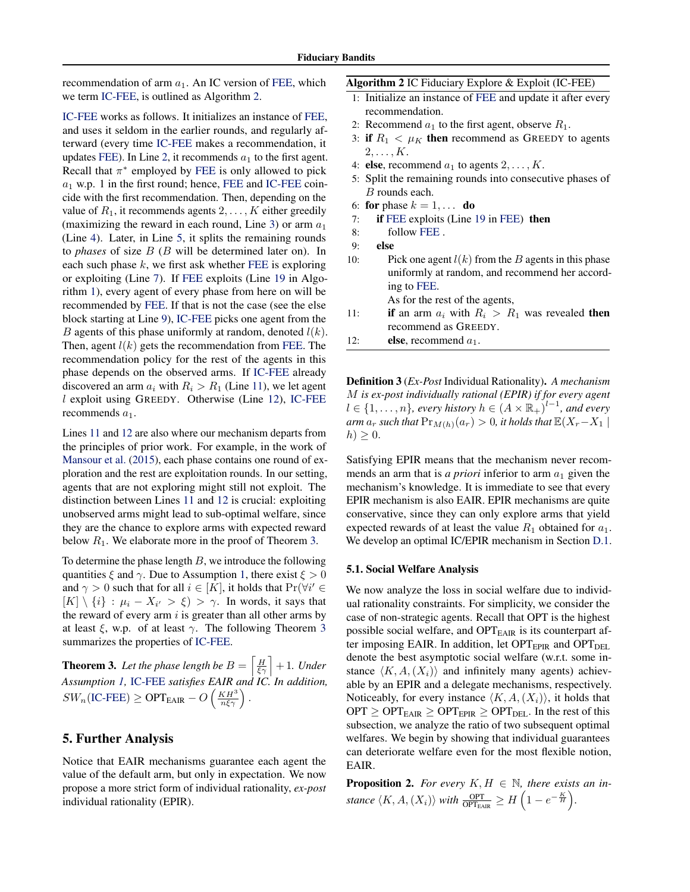<span id="page-7-0"></span>recommendation of arm  $a_1$ . An IC version of [FEE,](#page-6-0) which we term IC-FEE, is outlined as Algorithm 2.

IC-FEE works as follows. It initializes an instance of [FEE,](#page-6-0) and uses it seldom in the earlier rounds, and regularly afterward (every time IC-FEE makes a recommendation, it updates [FEE\)](#page-6-0). In Line [2,](#page-6-0) it recommends  $a_1$  to the first agent. Recall that  $\pi^*$  employed by [FEE](#page-6-0) is only allowed to pick  $a_1$  w.p. 1 in the first round; hence, [FEE](#page-6-0) and IC-FEE coincide with the first recommendation. Then, depending on the value of  $R_1$ , it recommends agents  $2, \ldots, K$  either greedily (maximizing the reward in each round, Line [3\)](#page-6-0) or arm  $a_1$ (Line [4\)](#page-6-0). Later, in Line [5,](#page-6-0) it splits the remaining rounds to *phases* of size B (B will be determined later on). In each such phase  $k$ , we first ask whether [FEE](#page-6-0) is exploring or exploiting (Line [7\)](#page-6-0). If [FEE](#page-6-0) exploits (Line [19](#page-6-0) in Algorithm [1\)](#page-6-0), every agent of every phase from here on will be recommended by [FEE.](#page-6-0) If that is not the case (see the else block starting at Line [9\)](#page-6-0), IC-FEE picks one agent from the B agents of this phase uniformly at random, denoted  $l(k)$ . Then, agent  $l(k)$  gets the recommendation from [FEE.](#page-6-0) The recommendation policy for the rest of the agents in this phase depends on the observed arms. If IC-FEE already discovered an arm  $a_i$  with  $R_i > R_1$  (Line [11\)](#page-6-0), we let agent  $l$  exploit using GREEDY. Otherwise (Line [12\)](#page-6-0), IC-FEE recommends  $a_1$ .

Lines [11](#page-6-0) and [12](#page-6-0) are also where our mechanism departs from the principles of prior work. For example, in the work of [Mansour et al.](#page-9-0) [\(2015\)](#page-9-0), each phase contains one round of exploration and the rest are exploitation rounds. In our setting, agents that are not exploring might still not exploit. The distinction between Lines [11](#page-6-0) and [12](#page-6-0) is crucial: exploiting unobserved arms might lead to sub-optimal welfare, since they are the chance to explore arms with expected reward below  $R_1$ . We elaborate more in the proof of Theorem 3.

To determine the phase length  $B$ , we introduce the following quantities  $\xi$  and  $\gamma$ . Due to Assumption [1,](#page-6-0) there exist  $\xi > 0$ and  $\gamma > 0$  such that for all  $i \in [K]$ , it holds that  $Pr(\forall i' \in$  $[K] \setminus \{i\}$ :  $\mu_i - X_{i'} > \xi$ ) >  $\gamma$ . In words, it says that the reward of every arm  $i$  is greater than all other arms by at least  $\xi$ , w.p. of at least  $\gamma$ . The following Theorem 3 summarizes the properties of IC-FEE.

**Theorem 3.** Let the phase length be  $B = \left[\frac{H}{\xi\gamma}\right] + 1$ . Under *Assumption [1,](#page-6-0)* IC-FEE *satisfies EAIR and IC. In addition,*  $SW_n(\text{IC-FEE}) \ge \text{OPT}_{\text{EAIR}} - O\left(\frac{KH^3}{n\xi\gamma}\right).$ 

### 5. Further Analysis

Notice that EAIR mechanisms guarantee each agent the value of the default arm, but only in expectation. We now propose a more strict form of individual rationality, *ex-post* individual rationality (EPIR).

|  | <b>Algorithm 2 IC Fiduciary Explore &amp; Exploit (IC-FEE)</b> |
|--|----------------------------------------------------------------|
|  |                                                                |

- 1: Initialize an instance of [FEE](#page-6-0) and update it after every recommendation.
- 2: Recommend  $a_1$  to the first agent, observe  $R_1$ .
- 3: if  $R_1 < \mu_K$  then recommend as GREEDY to agents  $2, \ldots, K$ .
- 4: else, recommend  $a_1$  to agents  $2, \ldots, K$ .
- 5: Split the remaining rounds into consecutive phases of B rounds each.
- 6: for phase  $k = 1, \ldots$  do
- 7: if [FEE](#page-6-0) exploits (Line [19](#page-6-0) in [FEE\)](#page-6-0) then

$$
8: \qquad \text{follow FEE }.
$$

```
9: else
```
- 10: Pick one agent  $l(k)$  from the B agents in this phase uniformly at random, and recommend her according to [FEE.](#page-6-0) As for the rest of the agents,
- 11: **if** an arm  $a_i$  with  $R_i > R_1$  was revealed **then** recommend as GREEDY.
- 12: **else**, recommend  $a_1$ .

Definition 3 (*Ex-Post* Individual Rationality). *A mechanism* M *is ex-post individually rational (EPIR) if for every agent*  $l \in \{1, \ldots, n\}$ , every history  $h \in (A \times \mathbb{R}_+)^{l-1}$ , and every  $arm a<sub>r</sub> such that Pr<sub>M(h)</sub>(a<sub>r</sub>) > 0, it holds that  $\mathbb{E}(X_r - X_1)$$  $h) \geq 0.$ 

Satisfying EPIR means that the mechanism never recommends an arm that is *a priori* inferior to arm  $a_1$  given the mechanism's knowledge. It is immediate to see that every EPIR mechanism is also EAIR. EPIR mechanisms are quite conservative, since they can only explore arms that yield expected rewards of at least the value  $R_1$  obtained for  $a_1$ . We develop an optimal IC/EPIR mechanism in Section [D.1.](#page-18-0)

#### 5.1. Social Welfare Analysis

We now analyze the loss in social welfare due to individual rationality constraints. For simplicity, we consider the case of non-strategic agents. Recall that OPT is the highest possible social welfare, and OPT<sub>EAIR</sub> is its counterpart after imposing EAIR. In addition, let  $OPT_{EPIR}$  and  $OPT_{DEL}$ denote the best asymptotic social welfare (w.r.t. some instance  $\langle K, A, (X_i) \rangle$  and infinitely many agents) achievable by an EPIR and a delegate mechanisms, respectively. Noticeably, for every instance  $\langle K, A,(X_i)\rangle$ , it holds that  $OPT \geq OPT_{EAIR} \geq OPT_{EPIR} \geq OPT_{DEL}$ . In the rest of this subsection, we analyze the ratio of two subsequent optimal welfares. We begin by showing that individual guarantees can deteriorate welfare even for the most flexible notion, EAIR.

**Proposition 2.** For every  $K, H \in \mathbb{N}$ , there exists an in*stance*  $\langle K, A, (X_i) \rangle$  *with*  $\frac{\text{OPT}}{\text{OPT}_{\text{EAR}}} \geq H\left(1 - e^{-\frac{K}{H}}\right)$ .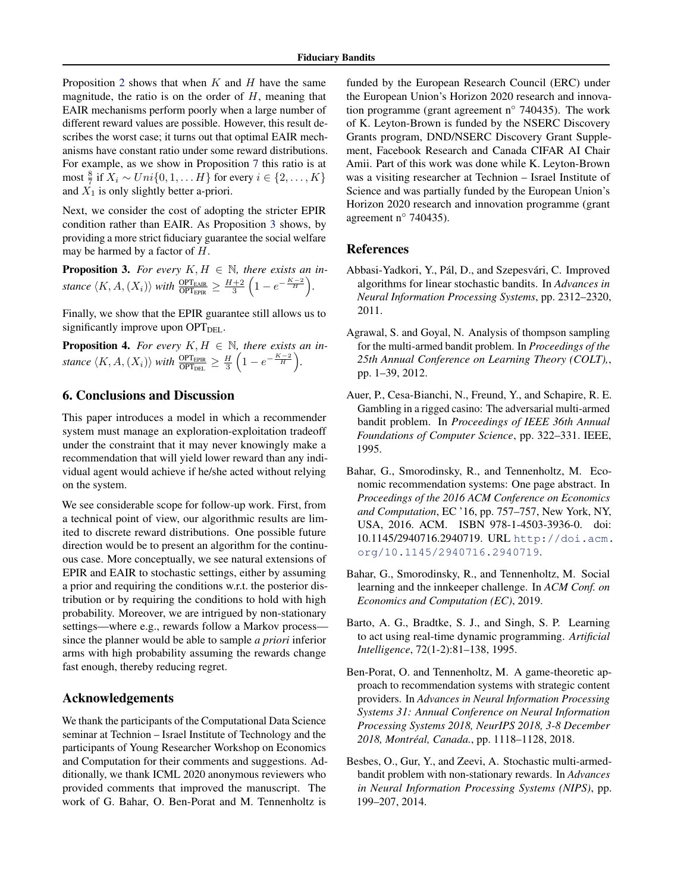<span id="page-8-0"></span>Proposition [2](#page-7-0) shows that when  $K$  and  $H$  have the same magnitude, the ratio is on the order of  $H$ , meaning that EAIR mechanisms perform poorly when a large number of different reward values are possible. However, this result describes the worst case; it turns out that optimal EAIR mechanisms have constant ratio under some reward distributions. For example, as we show in Proposition [7](#page-20-0) this ratio is at most  $\frac{8}{7}$  if  $X_i \sim Uni\{0, 1, \ldots H\}$  for every  $i \in \{2, \ldots, K\}$ and  $\overline{X}_1$  is only slightly better a-priori.

Next, we consider the cost of adopting the stricter EPIR condition rather than EAIR. As Proposition 3 shows, by providing a more strict fiduciary guarantee the social welfare may be harmed by a factor of H.

**Proposition 3.** For every  $K, H \in \mathbb{N}$ , there exists an instance  $\langle K, A, (X_i) \rangle$  *with*  $\frac{\text{OPT}_{\text{EAR}}}{\text{OPT}_{\text{EPIR}}} \ge \frac{H+2}{3} \left( 1 - e^{-\frac{K-2}{H}} \right)$ .

Finally, we show that the EPIR guarantee still allows us to significantly improve upon  $OPT<sub>DEL</sub>$ .

**Proposition 4.** *For every*  $K, H \in \mathbb{N}$ *, there exists an in*stance  $\langle K, A, (X_i) \rangle$  *with*  $\frac{\text{OPT}_{\text{EPIR}}}{\text{OPT}_{\text{DEL}}} \ge \frac{H}{3} \left( 1 - e^{-\frac{K-2}{H}} \right)$ .

# 6. Conclusions and Discussion

This paper introduces a model in which a recommender system must manage an exploration-exploitation tradeoff under the constraint that it may never knowingly make a recommendation that will yield lower reward than any individual agent would achieve if he/she acted without relying on the system.

We see considerable scope for follow-up work. First, from a technical point of view, our algorithmic results are limited to discrete reward distributions. One possible future direction would be to present an algorithm for the continuous case. More conceptually, we see natural extensions of EPIR and EAIR to stochastic settings, either by assuming a prior and requiring the conditions w.r.t. the posterior distribution or by requiring the conditions to hold with high probability. Moreover, we are intrigued by non-stationary settings—where e.g., rewards follow a Markov process since the planner would be able to sample *a priori* inferior arms with high probability assuming the rewards change fast enough, thereby reducing regret.

### Acknowledgements

We thank the participants of the Computational Data Science seminar at Technion – Israel Institute of Technology and the participants of Young Researcher Workshop on Economics and Computation for their comments and suggestions. Additionally, we thank ICML 2020 anonymous reviewers who provided comments that improved the manuscript. The work of G. Bahar, O. Ben-Porat and M. Tennenholtz is

funded by the European Research Council (ERC) under the European Union's Horizon 2020 research and innovation programme (grant agreement n◦ 740435). The work of K. Leyton-Brown is funded by the NSERC Discovery Grants program, DND/NSERC Discovery Grant Supplement, Facebook Research and Canada CIFAR AI Chair Amii. Part of this work was done while K. Leyton-Brown was a visiting researcher at Technion – Israel Institute of Science and was partially funded by the European Union's Horizon 2020 research and innovation programme (grant agreement n◦ 740435).

#### References

- Abbasi-Yadkori, Y., Pál, D., and Szepesvári, C. Improved algorithms for linear stochastic bandits. In *Advances in Neural Information Processing Systems*, pp. 2312–2320, 2011.
- Agrawal, S. and Goyal, N. Analysis of thompson sampling for the multi-armed bandit problem. In *Proceedings of the 25th Annual Conference on Learning Theory (COLT),*, pp. 1–39, 2012.
- Auer, P., Cesa-Bianchi, N., Freund, Y., and Schapire, R. E. Gambling in a rigged casino: The adversarial multi-armed bandit problem. In *Proceedings of IEEE 36th Annual Foundations of Computer Science*, pp. 322–331. IEEE, 1995.
- Bahar, G., Smorodinsky, R., and Tennenholtz, M. Economic recommendation systems: One page abstract. In *Proceedings of the 2016 ACM Conference on Economics and Computation*, EC '16, pp. 757–757, New York, NY, USA, 2016. ACM. ISBN 978-1-4503-3936-0. doi: 10.1145/2940716.2940719. URL [http://doi.acm.](http://doi.acm.org/10.1145/2940716.2940719) [org/10.1145/2940716.2940719](http://doi.acm.org/10.1145/2940716.2940719).
- Bahar, G., Smorodinsky, R., and Tennenholtz, M. Social learning and the innkeeper challenge. In *ACM Conf. on Economics and Computation (EC)*, 2019.
- Barto, A. G., Bradtke, S. J., and Singh, S. P. Learning to act using real-time dynamic programming. *Artificial Intelligence*, 72(1-2):81–138, 1995.
- Ben-Porat, O. and Tennenholtz, M. A game-theoretic approach to recommendation systems with strategic content providers. In *Advances in Neural Information Processing Systems 31: Annual Conference on Neural Information Processing Systems 2018, NeurIPS 2018, 3-8 December 2018, Montreal, Canada. ´* , pp. 1118–1128, 2018.
- Besbes, O., Gur, Y., and Zeevi, A. Stochastic multi-armedbandit problem with non-stationary rewards. In *Advances in Neural Information Processing Systems (NIPS)*, pp. 199–207, 2014.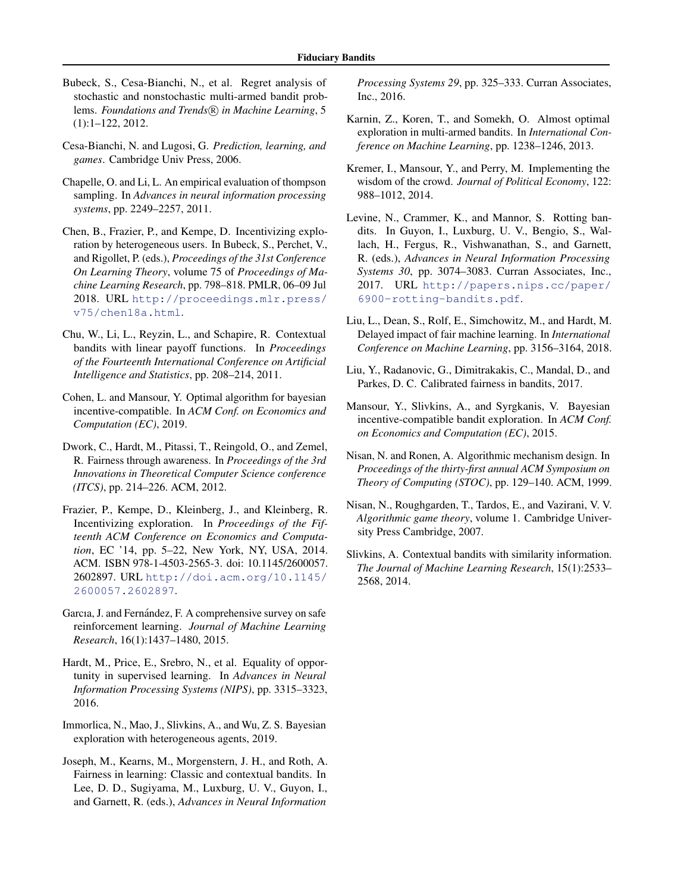- <span id="page-9-0"></span>Bubeck, S., Cesa-Bianchi, N., et al. Regret analysis of stochastic and nonstochastic multi-armed bandit problems. *Foundations and Trends* (R) in Machine Learning, 5 (1):1–122, 2012.
- Cesa-Bianchi, N. and Lugosi, G. *Prediction, learning, and games*. Cambridge Univ Press, 2006.
- Chapelle, O. and Li, L. An empirical evaluation of thompson sampling. In *Advances in neural information processing systems*, pp. 2249–2257, 2011.
- Chen, B., Frazier, P., and Kempe, D. Incentivizing exploration by heterogeneous users. In Bubeck, S., Perchet, V., and Rigollet, P. (eds.), *Proceedings of the 31st Conference On Learning Theory*, volume 75 of *Proceedings of Machine Learning Research*, pp. 798–818. PMLR, 06–09 Jul 2018. URL [http://proceedings.mlr.press/](http://proceedings.mlr.press/v75/chen18a.html) [v75/chen18a.html](http://proceedings.mlr.press/v75/chen18a.html).
- Chu, W., Li, L., Reyzin, L., and Schapire, R. Contextual bandits with linear payoff functions. In *Proceedings of the Fourteenth International Conference on Artificial Intelligence and Statistics*, pp. 208–214, 2011.
- Cohen, L. and Mansour, Y. Optimal algorithm for bayesian incentive-compatible. In *ACM Conf. on Economics and Computation (EC)*, 2019.
- Dwork, C., Hardt, M., Pitassi, T., Reingold, O., and Zemel, R. Fairness through awareness. In *Proceedings of the 3rd Innovations in Theoretical Computer Science conference (ITCS)*, pp. 214–226. ACM, 2012.
- Frazier, P., Kempe, D., Kleinberg, J., and Kleinberg, R. Incentivizing exploration. In *Proceedings of the Fifteenth ACM Conference on Economics and Computation*, EC '14, pp. 5–22, New York, NY, USA, 2014. ACM. ISBN 978-1-4503-2565-3. doi: 10.1145/2600057. 2602897. URL [http://doi.acm.org/10.1145/](http://doi.acm.org/10.1145/2600057.2602897) [2600057.2602897](http://doi.acm.org/10.1145/2600057.2602897).
- Garcıa, J. and Fernández, F. A comprehensive survey on safe reinforcement learning. *Journal of Machine Learning Research*, 16(1):1437–1480, 2015.
- Hardt, M., Price, E., Srebro, N., et al. Equality of opportunity in supervised learning. In *Advances in Neural Information Processing Systems (NIPS)*, pp. 3315–3323, 2016.
- Immorlica, N., Mao, J., Slivkins, A., and Wu, Z. S. Bayesian exploration with heterogeneous agents, 2019.
- Joseph, M., Kearns, M., Morgenstern, J. H., and Roth, A. Fairness in learning: Classic and contextual bandits. In Lee, D. D., Sugiyama, M., Luxburg, U. V., Guyon, I., and Garnett, R. (eds.), *Advances in Neural Information*

*Processing Systems 29*, pp. 325–333. Curran Associates, Inc., 2016.

- Karnin, Z., Koren, T., and Somekh, O. Almost optimal exploration in multi-armed bandits. In *International Conference on Machine Learning*, pp. 1238–1246, 2013.
- Kremer, I., Mansour, Y., and Perry, M. Implementing the wisdom of the crowd. *Journal of Political Economy*, 122: 988–1012, 2014.
- Levine, N., Crammer, K., and Mannor, S. Rotting bandits. In Guyon, I., Luxburg, U. V., Bengio, S., Wallach, H., Fergus, R., Vishwanathan, S., and Garnett, R. (eds.), *Advances in Neural Information Processing Systems 30*, pp. 3074–3083. Curran Associates, Inc., 2017. URL [http://papers.nips.cc/paper/](http://papers.nips.cc/paper/6900-rotting-bandits.pdf) [6900-rotting-bandits.pdf](http://papers.nips.cc/paper/6900-rotting-bandits.pdf).
- Liu, L., Dean, S., Rolf, E., Simchowitz, M., and Hardt, M. Delayed impact of fair machine learning. In *International Conference on Machine Learning*, pp. 3156–3164, 2018.
- Liu, Y., Radanovic, G., Dimitrakakis, C., Mandal, D., and Parkes, D. C. Calibrated fairness in bandits, 2017.
- Mansour, Y., Slivkins, A., and Syrgkanis, V. Bayesian incentive-compatible bandit exploration. In *ACM Conf. on Economics and Computation (EC)*, 2015.
- Nisan, N. and Ronen, A. Algorithmic mechanism design. In *Proceedings of the thirty-first annual ACM Symposium on Theory of Computing (STOC)*, pp. 129–140. ACM, 1999.
- Nisan, N., Roughgarden, T., Tardos, E., and Vazirani, V. V. *Algorithmic game theory*, volume 1. Cambridge University Press Cambridge, 2007.
- Slivkins, A. Contextual bandits with similarity information. *The Journal of Machine Learning Research*, 15(1):2533– 2568, 2014.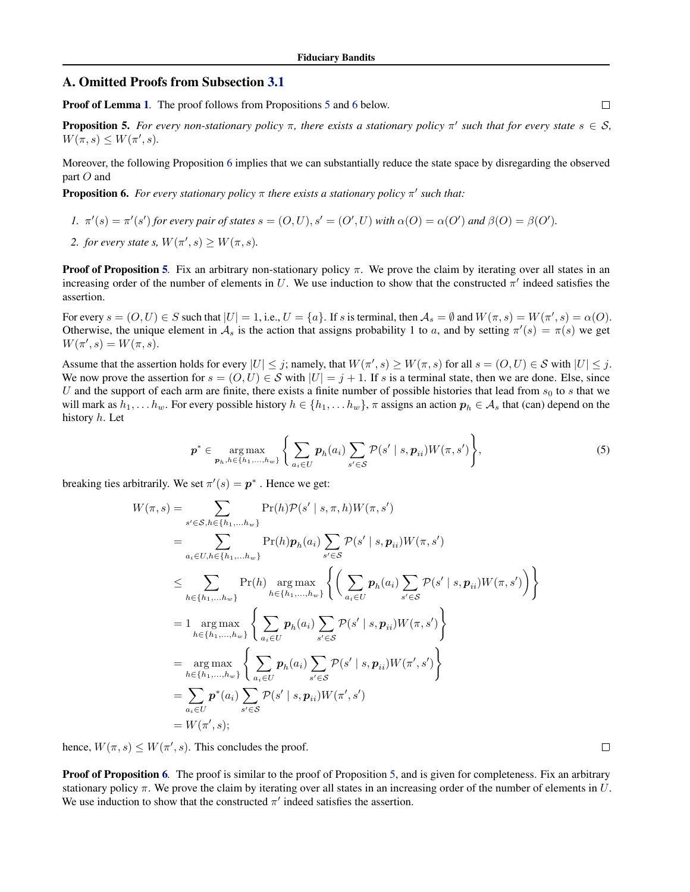### A. Omitted Proofs from Subsection [3.1](#page-4-0)

Proof of Lemma [1](#page-5-0). The proof follows from Propositions 5 and 6 below.

**Proposition 5.** For every non-stationary policy  $\pi$ , there exists a stationary policy  $\pi'$  such that for every state  $s \in S$ ,  $W(\pi, s) \leq W(\pi', s).$ 

Moreover, the following Proposition 6 implies that we can substantially reduce the state space by disregarding the observed part O and

**Proposition 6.** For every stationary policy  $\pi$  there exists a stationary policy  $\pi'$  such that:

*1.*  $\pi'(s) = \pi'(s')$  for every pair of states  $s = (O, U), s' = (O', U)$  with  $\alpha(O) = \alpha(O')$  and  $\beta(O) = \beta(O')$ . 2. *for every state s,*  $W(\pi', s) \ge W(\pi, s)$ *.* 

**Proof of Proposition 5.** Fix an arbitrary non-stationary policy  $\pi$ . We prove the claim by iterating over all states in an increasing order of the number of elements in U. We use induction to show that the constructed  $\pi'$  indeed satisfies the assertion.

For every  $s = (O, U) \in S$  such that  $|U| = 1$ , i.e.,  $U = \{a\}$ . If s is terminal, then  $\mathcal{A}_s = \emptyset$  and  $W(\pi, s) = W(\pi', s) = \alpha(O)$ . Otherwise, the unique element in  $A_s$  is the action that assigns probability 1 to a, and by setting  $\pi'(s) = \pi(s)$  we get  $W(\pi', s) = W(\pi, s).$ 

Assume that the assertion holds for every  $|U| \leq j$ ; namely, that  $W(\pi, s) \geq W(\pi, s)$  for all  $s = (O, U) \in S$  with  $|U| \leq j$ . We now prove the assertion for  $s = (O, U) \in S$  with  $|U| = j + 1$ . If s is a terminal state, then we are done. Else, since U and the support of each arm are finite, there exists a finite number of possible histories that lead from  $s_0$  to s that we will mark as  $h_1, \ldots, h_w$ . For every possible history  $h \in \{h_1, \ldots, h_w\}$ ,  $\pi$  assigns an action  $p_h \in A_s$  that (can) depend on the history h. Let

$$
\boldsymbol{p}^* \in \underset{\boldsymbol{p}_h, h \in \{h_1, \ldots, h_w\}}{\arg \max} \left\{ \sum_{a_i \in U} \boldsymbol{p}_h(a_i) \sum_{s' \in \mathcal{S}} \mathcal{P}(s' \mid s, \boldsymbol{p}_{ii}) W(\pi, s') \right\},\tag{5}
$$

breaking ties arbitrarily. We set  $\pi'(s) = p^*$ . Hence we get:

$$
W(\pi, s) = \sum_{s' \in S, h \in \{h_1, \dots, h_w\}} \Pr(h) \mathcal{P}(s' \mid s, \pi, h) W(\pi, s')
$$
  
\n
$$
= \sum_{a_i \in U, h \in \{h_1, \dots, h_w\}} \Pr(h) \mathbf{p}_h(a_i) \sum_{s' \in S} \mathcal{P}(s' \mid s, \mathbf{p}_{ii}) W(\pi, s')
$$
  
\n
$$
\leq \sum_{h \in \{h_1, \dots, h_w\}} \Pr(h) \operatorname{arg max}_{h \in \{h_1, \dots, h_w\}} \left\{ \left( \sum_{a_i \in U} \mathbf{p}_h(a_i) \sum_{s' \in S} \mathcal{P}(s' \mid s, \mathbf{p}_{ii}) W(\pi, s') \right) \right\}
$$
  
\n
$$
= 1 \operatorname{arg max}_{h \in \{h_1, \dots, h_w\}} \left\{ \sum_{a_i \in U} \mathbf{p}_h(a_i) \sum_{s' \in S} \mathcal{P}(s' \mid s, \mathbf{p}_{ii}) W(\pi, s') \right\}
$$
  
\n
$$
= \operatorname{arg max}_{h \in \{h_1, \dots, h_w\}} \left\{ \sum_{a_i \in U} \mathbf{p}_h(a_i) \sum_{s' \in S} \mathcal{P}(s' \mid s, \mathbf{p}_{ii}) W(\pi', s') \right\}
$$
  
\n
$$
= \sum_{a_i \in U} \mathbf{p}^*(a_i) \sum_{s' \in S} \mathcal{P}(s' \mid s, \mathbf{p}_{ii}) W(\pi', s')
$$
  
\n
$$
= W(\pi', s);
$$

hence,  $W(\pi, s) \leq W(\pi', s)$ . This concludes the proof.

**Proof of Proposition 6.** The proof is similar to the proof of Proposition 5, and is given for completeness. Fix an arbitrary stationary policy  $\pi$ . We prove the claim by iterating over all states in an increasing order of the number of elements in U. We use induction to show that the constructed  $\pi'$  indeed satisfies the assertion.

 $\Box$ 

 $\Box$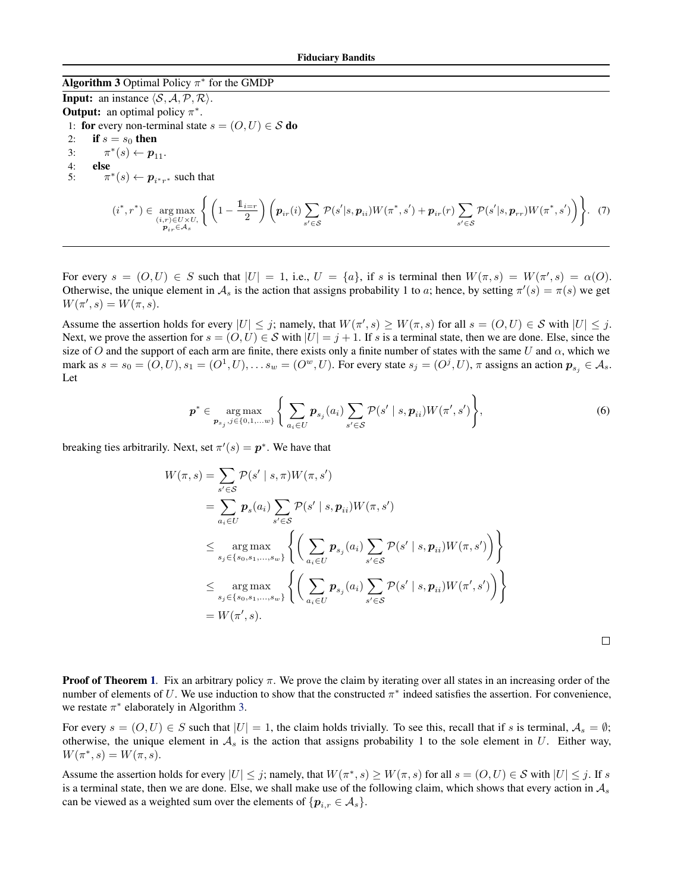### <span id="page-11-0"></span>**Algorithm 3** Optimal Policy  $\pi^*$  for the GMDP

**Input:** an instance  $\langle \mathcal{S}, \mathcal{A}, \mathcal{P}, \mathcal{R} \rangle$ . **Output:** an optimal policy  $\pi^*$ . 1: for every non-terminal state  $s = (O, U) \in S$  do 2: if  $s = s_0$  then 3:  $\pi^*(s) \leftarrow p_{11}$ . 4: else 5: <sup>\*</sup>(s) ←  $p_{i^*r^*}$  such that  $(i^*,r^*) \in \mathop{\arg\max}_{\substack{(i,r) \in U \times U, \\ \mathbf{p}_{ir} \in \mathcal{A}_s}}$  $\left\{ \left(1 - \frac{1_{i=r}}{2}\right)$  $\left(\frac{i=r}{2}\right)\left(\boldsymbol{p}_{ir}(i)\sum_{l\in\mathcal{L}}% {\boldsymbol{\bar{\gamma}}}_{l}^{\prime\prime}(\boldsymbol{x}_{l})\right)$  $s' \in \mathcal{S}$  $\mathcal{P}(s'|s,\bm{p}_{ii})W(\pi^*,s')+\bm{p}_{ir}(r)\,\sum\,$  $s' \in \mathcal{S}$  $\mathcal{P}(s'|s, \boldsymbol{p}_{rr}) W(\pi^*, s')\bigg\}$ . (7)

For every  $s = (0, U) \in S$  such that  $|U| = 1$ , i.e.,  $U = \{a\}$ , if s is terminal then  $W(\pi, s) = W(\pi', s) = \alpha(0)$ . Otherwise, the unique element in  $A_s$  is the action that assigns probability 1 to a; hence, by setting  $\pi'(s) = \pi(s)$  we get  $W(\pi', s) = W(\pi, s).$ 

Assume the assertion holds for every  $|U| \leq j$ ; namely, that  $W(\pi', s) \geq W(\pi, s)$  for all  $s = (O, U) \in S$  with  $|U| \leq j$ . Next, we prove the assertion for  $s = (O, U) \in S$  with  $|U| = j + 1$ . If s is a terminal state, then we are done. Else, since the size of O and the support of each arm are finite, there exists only a finite number of states with the same U and  $\alpha$ , which we mark as  $s = s_0 = (O, U), s_1 = (O^1, U), \dots s_w = (O^w, U)$ . For every state  $s_j = (O^j, U), \pi$  assigns an action  $p_{s_j} \in A_s$ . Let

$$
\boldsymbol{p}^* \in \underset{\boldsymbol{p}_{s_j}, j \in \{0, 1, \dots w\}}{\arg \max} \left\{ \sum_{a_i \in U} \boldsymbol{p}_{s_j}(a_i) \sum_{s' \in \mathcal{S}} \mathcal{P}(s' \mid s, \boldsymbol{p}_{ii}) W(\pi', s') \right\},\tag{6}
$$

breaking ties arbitrarily. Next, set  $\pi'(s) = p^*$ . We have that

$$
W(\pi, s) = \sum_{s' \in S} \mathcal{P}(s' \mid s, \pi) W(\pi, s')
$$
  
\n
$$
= \sum_{a_i \in U} \mathbf{p}_s(a_i) \sum_{s' \in S} \mathcal{P}(s' \mid s, \mathbf{p}_{ii}) W(\pi, s')
$$
  
\n
$$
\leq \underset{s_j \in \{s_0, s_1, \dots, s_w\}}{\arg \max} \left\{ \left( \sum_{a_i \in U} \mathbf{p}_{s_j}(a_i) \sum_{s' \in S} \mathcal{P}(s' \mid s, \mathbf{p}_{ii}) W(\pi, s') \right) \right\}
$$
  
\n
$$
\leq \underset{s_j \in \{s_0, s_1, \dots, s_w\}}{\arg \max} \left\{ \left( \sum_{a_i \in U} \mathbf{p}_{s_j}(a_i) \sum_{s' \in S} \mathcal{P}(s' \mid s, \mathbf{p}_{ii}) W(\pi', s') \right) \right\}
$$
  
\n
$$
= W(\pi', s).
$$

 $\Box$ 

**Proof of Theorem [1](#page-5-0).** Fix an arbitrary policy  $\pi$ . We prove the claim by iterating over all states in an increasing order of the number of elements of U. We use induction to show that the constructed  $\pi^*$  indeed satisfies the assertion. For convenience, we restate  $\pi^*$  elaborately in Algorithm 3.

For every  $s = (O, U) \in S$  such that  $|U| = 1$ , the claim holds trivially. To see this, recall that if s is terminal,  $A_s = \emptyset$ ; otherwise, the unique element in  $A_s$  is the action that assigns probability 1 to the sole element in U. Either way,  $W(\pi^*, s) = W(\pi, s).$ 

Assume the assertion holds for every  $|U| \leq j$ ; namely, that  $W(\pi^*, s) \geq W(\pi, s)$  for all  $s = (O, U) \in S$  with  $|U| \leq j$ . If s is a terminal state, then we are done. Else, we shall make use of the following claim, which shows that every action in  $A_s$ can be viewed as a weighted sum over the elements of  $\{p_{i,r} \in A_s\}$ .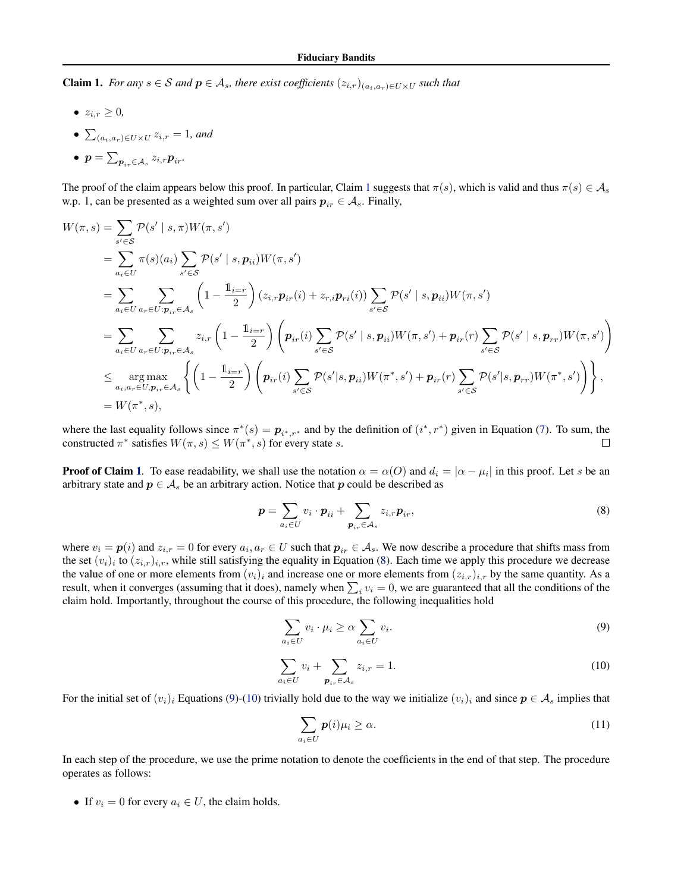<span id="page-12-0"></span>Claim 1. *For any*  $s \in S$  *and*  $p \in A_s$ *, there exist coefficients*  $(z_{i,r})_{(a_i,a_r) \in U \times U}$  *such that* 

- $z_{i,r} \geq 0$ ,
- $\sum_{(a_i,a_r)\in U\times U} z_{i,r} = 1$ *, and*

• 
$$
\boldsymbol{p} = \sum_{\boldsymbol{p}_{ir} \in \mathcal{A}_s} z_{i,r} \boldsymbol{p}_{ir}
$$

The proof of the claim appears below this proof. In particular, Claim 1 suggests that  $\pi(s)$ , which is valid and thus  $\pi(s) \in A_s$ w.p. 1, can be presented as a weighted sum over all pairs  $p_{ir} \in A_s$ . Finally,

$$
W(\pi, s) = \sum_{s' \in S} \mathcal{P}(s' \mid s, \pi) W(\pi, s')
$$
  
\n
$$
= \sum_{a_i \in U} \pi(s)(a_i) \sum_{s' \in S} \mathcal{P}(s' \mid s, \mathbf{p}_{ii}) W(\pi, s')
$$
  
\n
$$
= \sum_{a_i \in U} \sum_{a_r \in U: \mathbf{p}_{ir} \in A_s} \left(1 - \frac{\mathbb{1}_{i=r}}{2}\right) (z_{i,r} \mathbf{p}_{ir}(i) + z_{r,i} \mathbf{p}_{ri}(i)) \sum_{s' \in S} \mathcal{P}(s' \mid s, \mathbf{p}_{ii}) W(\pi, s')
$$
  
\n
$$
= \sum_{a_i \in U} \sum_{a_r \in U: \mathbf{p}_{ir} \in A_s} z_{i,r} \left(1 - \frac{\mathbb{1}_{i=r}}{2}\right) \left(\mathbf{p}_{ir}(i) \sum_{s' \in S} \mathcal{P}(s' \mid s, \mathbf{p}_{ii}) W(\pi, s') + \mathbf{p}_{ir}(r) \sum_{s' \in S} \mathcal{P}(s' \mid s, \mathbf{p}_{rr}) W(\pi, s')\right)
$$
  
\n
$$
\leq \underset{a_i, a_r \in U, \mathbf{p}_{ir} \in A_s}{\arg \max} \left\{ \left(1 - \frac{\mathbb{1}_{i=r}}{2}\right) \left(\mathbf{p}_{ir}(i) \sum_{s' \in S} \mathcal{P}(s' \mid s, \mathbf{p}_{ii}) W(\pi^*, s') + \mathbf{p}_{ir}(r) \sum_{s' \in S} \mathcal{P}(s' \mid s, \mathbf{p}_{rr}) W(\pi^*, s')\right)\right\},
$$
  
\n
$$
= W(\pi^*, s),
$$

where the last equality follows since  $\pi^*(s) = p_{i^*,r^*}$  and by the definition of  $(i^*, r^*)$  given in Equation [\(7\)](#page-11-0). To sum, the constructed  $\pi^*$  satisfies  $W(\pi, s) \leq W(\pi^*, s)$  for every state s.  $\Box$ 

**Proof of Claim 1.** To ease readability, we shall use the notation  $\alpha = \alpha(O)$  and  $d_i = |\alpha - \mu_i|$  in this proof. Let s be an arbitrary state and  $p \in A_s$  be an arbitrary action. Notice that p could be described as

$$
\boldsymbol{p} = \sum_{a_i \in U} v_i \cdot \boldsymbol{p}_{ii} + \sum_{\boldsymbol{p}_{ir} \in \mathcal{A}_s} z_{i,r} \boldsymbol{p}_{ir},
$$
\n
$$
(8)
$$

where  $v_i = p(i)$  and  $z_{i,r} = 0$  for every  $a_i, a_r \in U$  such that  $p_{ir} \in A_s$ . We now describe a procedure that shifts mass from the set  $(v_i)_i$  to  $(z_{i,r})_{i,r}$ , while still satisfying the equality in Equation (8). Each time we apply this procedure we decrease the value of one or more elements from  $(v_i)_i$  and increase one or more elements from  $(z_i)_i$ , by the same quantity. As a result, when it converges (assuming that it does), namely when  $\sum_i v_i = 0$ , we are guaranteed that all the conditions of the claim hold. Importantly, throughout the course of this procedure, the following inequalities hold

$$
\sum_{a_i \in U} v_i \cdot \mu_i \ge \alpha \sum_{a_i \in U} v_i.
$$
\n(9)

$$
\sum_{a_i \in U} v_i + \sum_{\mathbf{p}_{ir} \in \mathcal{A}_s} z_{i,r} = 1.
$$
\n(10)

For the initial set of  $(v_i)_i$  Equations (9)-(10) trivially hold due to the way we initialize  $(v_i)_i$  and since  $p \in A_s$  implies that

$$
\sum_{a_i \in U} p(i)\mu_i \ge \alpha. \tag{11}
$$

In each step of the procedure, we use the prime notation to denote the coefficients in the end of that step. The procedure operates as follows:

• If  $v_i = 0$  for every  $a_i \in U$ , the claim holds.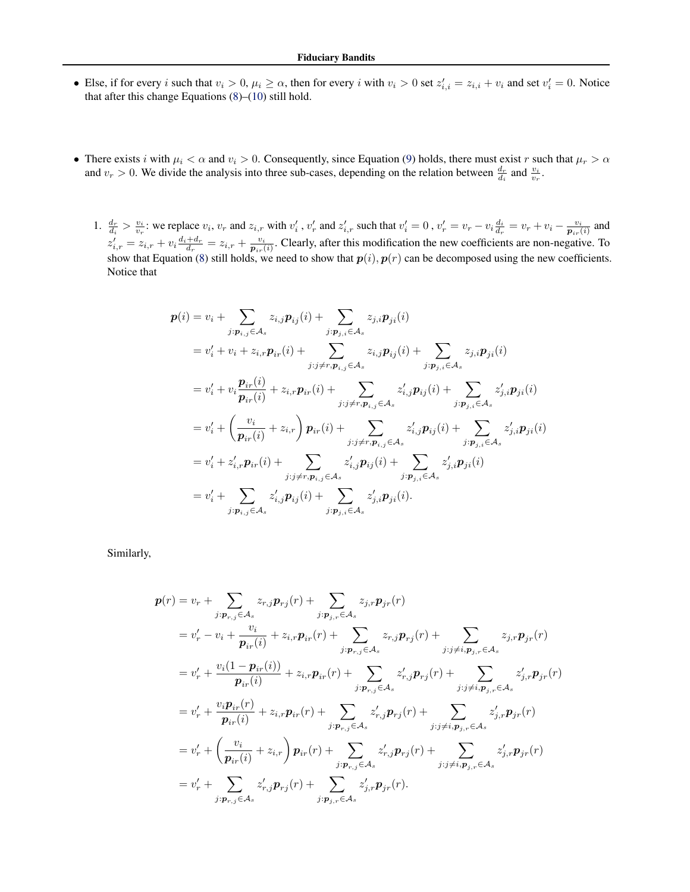- Else, if for every i such that  $v_i > 0$ ,  $\mu_i \ge \alpha$ , then for every i with  $v_i > 0$  set  $z_{i,i}' = z_{i,i} + v_i$  and set  $v_i' = 0$ . Notice that after this change Equations [\(8\)](#page-12-0)–[\(10\)](#page-12-0) still hold.
- There exists i with  $\mu_i < \alpha$  and  $v_i > 0$ . Consequently, since Equation [\(9\)](#page-12-0) holds, there must exist r such that  $\mu_r > \alpha$ and  $v_r > 0$ . We divide the analysis into three sub-cases, depending on the relation between  $\frac{d_r}{d_i}$  and  $\frac{v_i}{v_r}$ .
	- 1.  $\frac{d_r}{d_i} > \frac{v_i}{v_r}$ : we replace  $v_i$ ,  $v_r$  and  $z_{i,r}$  with  $v'_i$ ,  $v'_r$  and  $z'_{i,r}$  such that  $v'_i = 0$ ,  $v'_r = v_r v_i \frac{d_i}{d_r} = v_r + v_i \frac{v_i}{p_{ir}(i)}$  and  $z'_{i,r} = z_{i,r} + v_i \frac{d_i + d_r}{d_r} = z_{i,r} + \frac{v_i}{p_{ir}(i)}$ . Clearly, after this modification the new coefficients are non-negative. To show that Equation [\(8\)](#page-12-0) still holds, we need to show that  $p(i), p(r)$  can be decomposed using the new coefficients. Notice that

$$
p(i) = v_i + \sum_{j: p_{i,j} \in A_s} z_{i,j} p_{ij}(i) + \sum_{j: p_{j,i} \in A_s} z_{j,i} p_{ji}(i)
$$
  
\n
$$
= v'_i + v_i + z_{i,r} p_{ir}(i) + \sum_{j: j \neq r, p_{i,j} \in A_s} z_{i,j} p_{ij}(i) + \sum_{j: p_{j,i} \in A_s} z_{j,i} p_{ji}(i)
$$
  
\n
$$
= v'_i + v_i \frac{p_{ir}(i)}{p_{ir}(i)} + z_{i,r} p_{ir}(i) + \sum_{j: j \neq r, p_{i,j} \in A_s} z'_{i,j} p_{ij}(i) + \sum_{j: p_{j,i} \in A_s} z'_{j,i} p_{ji}(i)
$$
  
\n
$$
= v'_i + \left(\frac{v_i}{p_{ir}(i)} + z_{i,r}\right) p_{ir}(i) + \sum_{j: j \neq r, p_{i,j} \in A_s} z'_{i,j} p_{ij}(i) + \sum_{j: p_{j,i} \in A_s} z'_{j,i} p_{ji}(i)
$$
  
\n
$$
= v'_i + z'_{i,r} p_{ir}(i) + \sum_{j: j \neq r, p_{i,j} \in A_s} z'_{i,j} p_{ij}(i) + \sum_{j: p_{j,i} \in A_s} z'_{j,i} p_{ji}(i)
$$
  
\n
$$
= v'_i + \sum_{j: p_{i,j} \in A_s} z'_{i,j} p_{ij}(i) + \sum_{j: p_{j,i} \in A_s} z'_{j,i} p_{ji}(i).
$$

Similarly,

$$
p(r) = v_r + \sum_{j:p_{r,j} \in A_s} z_{r,j}p_{rj}(r) + \sum_{j:p_{j,r} \in A_s} z_{j,r}p_{jr}(r)
$$
  
\n
$$
= v'_r - v_i + \frac{v_i}{p_{ir}(i)} + z_{i,r}p_{ir}(r) + \sum_{j:p_{r,j} \in A_s} z_{r,j}p_{rj}(r) + \sum_{j:j \neq i,p_{j,r} \in A_s} z_{j,r}p_{jr}(r)
$$
  
\n
$$
= v'_r + \frac{v_i(1-p_{ir}(i))}{p_{ir}(i)} + z_{i,r}p_{ir}(r) + \sum_{j:p_{r,j} \in A_s} z'_{r,j}p_{rj}(r) + \sum_{j:j \neq i,p_{j,r} \in A_s} z'_{j,r}p_{jr}(r)
$$
  
\n
$$
= v'_r + \frac{v_i p_{ir}(r)}{p_{ir}(i)} + z_{i,r}p_{ir}(r) + \sum_{j:p_{r,j} \in A_s} z'_{r,j}p_{rj}(r) + \sum_{j:j \neq i,p_{j,r} \in A_s} z'_{j,r}p_{jr}(r)
$$
  
\n
$$
= v'_r + \left(\frac{v_i}{p_{ir}(i)} + z_{i,r}\right)p_{ir}(r) + \sum_{j:p_{r,j} \in A_s} z'_{r,j}p_{rj}(r) + \sum_{j:j \neq i,p_{j,r} \in A_s} z'_{j,r}p_{jr}(r)
$$
  
\n
$$
= v'_r + \sum_{j:p_{r,j} \in A_s} z'_{r,j}p_{rj}(r) + \sum_{j:p_{j,r} \in A_s} z'_{j,r}p_{jr}(r).
$$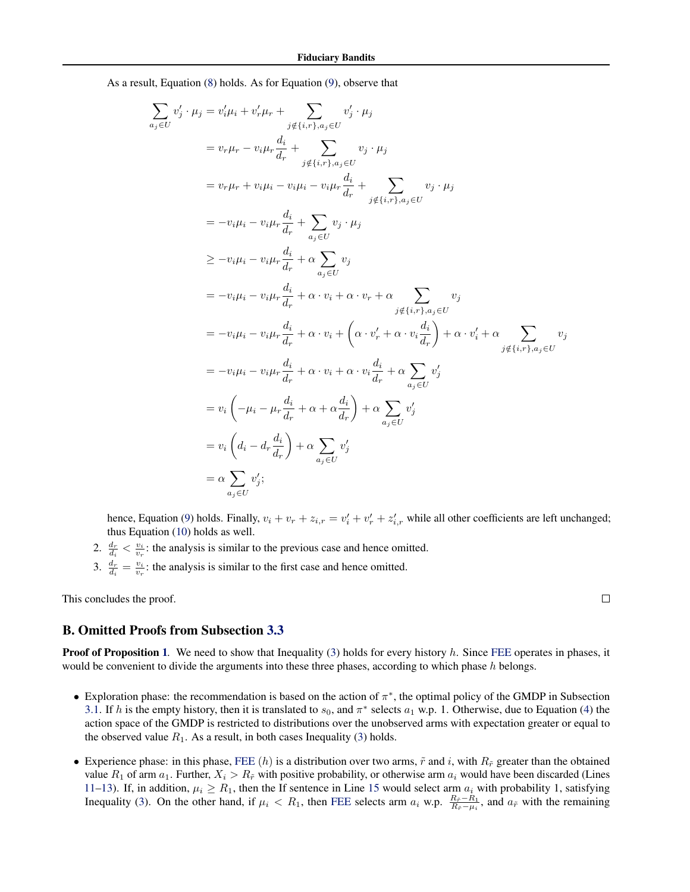As a result, Equation [\(8\)](#page-12-0) holds. As for Equation [\(9\)](#page-12-0), observe that

$$
\sum_{a_j \in U} v'_j \cdot \mu_j = v'_i \mu_i + v'_r \mu_r + \sum_{j \notin \{i,r\}, a_j \in U} v'_j \cdot \mu_j
$$
\n
$$
= v_r \mu_r - v_i \mu_r \frac{d_i}{d_r} + \sum_{j \notin \{i,r\}, a_j \in U} v_j \cdot \mu_j
$$
\n
$$
= v_r \mu_r + v_i \mu_i - v_i \mu_i - v_i \mu_r \frac{d_i}{d_r} + \sum_{j \notin \{i,r\}, a_j \in U} v_j \cdot \mu_j
$$
\n
$$
= -v_i \mu_i - v_i \mu_r \frac{d_i}{d_r} + \sum_{a_j \in U} v_j \cdot \mu_j
$$
\n
$$
\ge -v_i \mu_i - v_i \mu_r \frac{d_i}{d_r} + \alpha \sum_{a_j \in U} v_j
$$
\n
$$
= -v_i \mu_i - v_i \mu_r \frac{d_i}{d_r} + \alpha \cdot v_i + \alpha \cdot v_r + \alpha \sum_{j \notin \{i,r\}, a_j \in U} v_j
$$
\n
$$
= -v_i \mu_i - v_i \mu_r \frac{d_i}{d_r} + \alpha \cdot v_i + \left(\alpha \cdot v'_r + \alpha \cdot v_i \frac{d_i}{d_r}\right) + \alpha \cdot v'_i + \alpha \sum_{j \notin \{i,r\}, a_j \in U} v_j
$$
\n
$$
= -v_i \mu_i - v_i \mu_r \frac{d_i}{d_r} + \alpha \cdot v_i + \alpha \cdot v_i \frac{d_i}{d_r} + \alpha \sum_{a_j \in U} v'_j
$$
\n
$$
= v_i \left(-\mu_i - \mu_r \frac{d_i}{d_r} + \alpha + \alpha \frac{d_i}{d_r}\right) + \alpha \sum_{a_j \in U} v'_j
$$
\n
$$
= v_i \left(d_i - d_r \frac{d_i}{d_r}\right) + \alpha \sum_{a_j \in U} v'_j
$$
\n
$$
= \alpha \sum_{a_j \in U} v'_j;
$$

hence, Equation [\(9\)](#page-12-0) holds. Finally,  $v_i + v_r + z_{i,r} = v'_i + v'_r + z'_{i,r}$  while all other coefficients are left unchanged; thus Equation [\(10\)](#page-12-0) holds as well.

- 2.  $\frac{d_r}{d_i} < \frac{v_i}{v_r}$ : the analysis is similar to the previous case and hence omitted.
- 3.  $\frac{d_r}{d_i} = \frac{v_i}{v_r}$ : the analysis is similar to the first case and hence omitted.

This concludes the proof.

#### B. Omitted Proofs from Subsection [3.3](#page-6-0)

**Proof of Proposition [1](#page-6-0).** We need to show that Inequality [\(3\)](#page-3-0) holds for every history h. Since [FEE](#page-6-0) operates in phases, it would be convenient to divide the arguments into these three phases, according to which phase  $h$  belongs.

- Exploration phase: the recommendation is based on the action of  $\pi^*$ , the optimal policy of the GMDP in Subsection [3.1.](#page-4-0) If h is the empty history, then it is translated to  $s_0$ , and  $\pi^*$  selects  $a_1$  w.p. 1. Otherwise, due to Equation [\(4\)](#page-4-0) the action space of the GMDP is restricted to distributions over the unobserved arms with expectation greater or equal to the observed value  $R_1$ . As a result, in both cases Inequality [\(3\)](#page-3-0) holds.
- Experience phase: in this phase, [FEE](#page-6-0) (h) is a distribution over two arms,  $\tilde{r}$  and i, with  $R_{\tilde{r}}$  greater than the obtained value  $R_1$  of arm  $a_1$ . Further,  $X_i > R_{\tilde{r}}$  with positive probability, or otherwise arm  $a_i$  would have been discarded (Lines [11–13\)](#page-6-0). If, in addition,  $\mu_i \ge R_1$ , then the If sentence in Line [15](#page-6-0) would select arm  $a_i$  with probability 1, satisfying Inequality [\(3\)](#page-3-0). On the other hand, if  $\mu_i < R_1$ , then [FEE](#page-6-0) selects arm  $a_i$  w.p.  $\frac{R_{\tilde{r}}-R_1}{R_{\tilde{r}}-\mu_i}$ , and  $a_{\tilde{r}}$  with the remaining

 $\Box$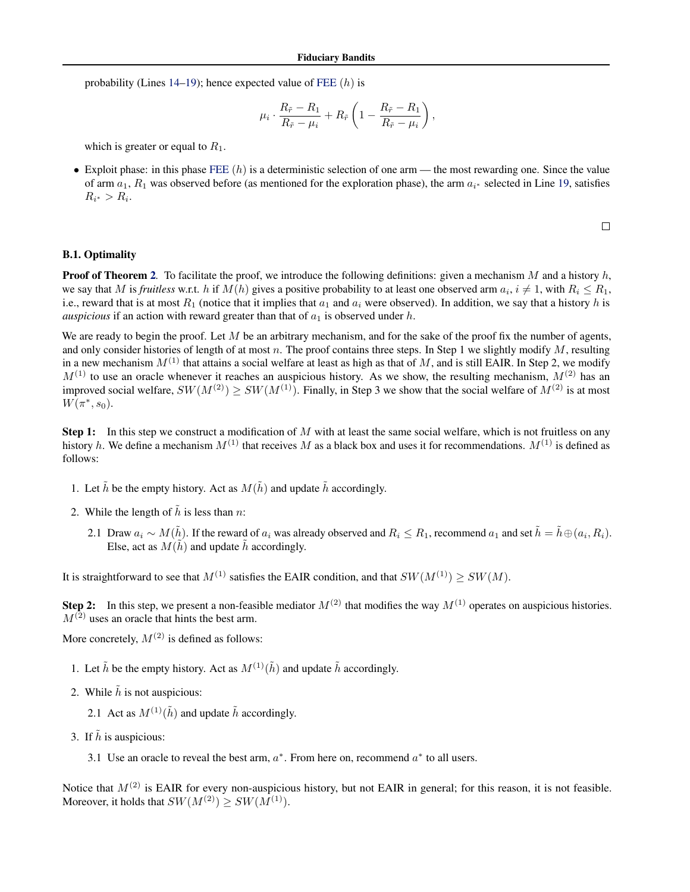probability (Lines [14–19\)](#page-6-0); hence expected value of [FEE](#page-6-0)  $(h)$  is

$$
\mu_i \cdot \frac{R_{\tilde{r}} - R_1}{R_{\tilde{r}} - \mu_i} + R_{\tilde{r}} \left( 1 - \frac{R_{\tilde{r}} - R_1}{R_{\tilde{r}} - \mu_i} \right),
$$

which is greater or equal to  $R_1$ .

• Exploit phase: in this phase [FEE](#page-6-0)  $(h)$  is a deterministic selection of one arm — the most rewarding one. Since the value of arm  $a_1$ ,  $R_1$  was observed before (as mentioned for the exploration phase), the arm  $a_{i*}$  selected in Line [19,](#page-6-0) satisfies  $R_{i^*} > R_{i}.$ 

 $\Box$ 

### B.1. Optimality

**Proof of Theorem [2](#page-6-0)**. To facilitate the proof, we introduce the following definitions: given a mechanism M and a history  $h$ , we say that M is *fruitless* w.r.t. h if  $M(h)$  gives a positive probability to at least one observed arm  $a_i, i \neq 1$ , with  $R_i \leq R_1$ , i.e., reward that is at most  $R_1$  (notice that it implies that  $a_1$  and  $a_i$  were observed). In addition, we say that a history h is *auspicious* if an action with reward greater than that of  $a_1$  is observed under  $h$ .

We are ready to begin the proof. Let  $M$  be an arbitrary mechanism, and for the sake of the proof fix the number of agents. and only consider histories of length of at most n. The proof contains three steps. In Step 1 we slightly modify  $M$ , resulting in a new mechanism  $M^{(1)}$  that attains a social welfare at least as high as that of M, and is still EAIR. In Step 2, we modify  $M^{(1)}$  to use an oracle whenever it reaches an auspicious history. As we show, the resulting mechanism,  $M^{(2)}$  has an improved social welfare,  $SW(M^{(2)}) \geq SW(M^{(1)})$ . Finally, in Step 3 we show that the social welfare of  $M^{(2)}$  is at most  $W(\pi^*, s_0)$ .

Step 1: In this step we construct a modification of  $M$  with at least the same social welfare, which is not fruitless on any history h. We define a mechanism  $M^{(1)}$  that receives M as a black box and uses it for recommendations.  $M^{(1)}$  is defined as follows:

- 1. Let  $\tilde{h}$  be the empty history. Act as  $M(\tilde{h})$  and update  $\tilde{h}$  accordingly.
- 2. While the length of  $\tilde{h}$  is less than n:
	- 2.1 Draw  $a_i \sim M(\tilde{h})$ . If the reward of  $a_i$  was already observed and  $R_i \le R_1$ , recommend  $a_1$  and set  $\tilde{h} = \tilde{h} \oplus (a_i, R_i)$ . Else, act as  $M(\tilde{h})$  and update  $\tilde{h}$  accordingly.

It is straightforward to see that  $M^{(1)}$  satisfies the EAIR condition, and that  $SW(M^{(1)}) \geq SW(M)$ .

**Step 2:** In this step, we present a non-feasible mediator  $M^{(2)}$  that modifies the way  $M^{(1)}$  operates on auspicious histories.  $M^{(2)}$  uses an oracle that hints the best arm.

More concretely,  $M^{(2)}$  is defined as follows:

- 1. Let  $\tilde{h}$  be the empty history. Act as  $M^{(1)}(\tilde{h})$  and update  $\tilde{h}$  accordingly.
- 2. While  $\tilde{h}$  is not auspicious:
	- 2.1 Act as  $M^{(1)}(\tilde{h})$  and update  $\tilde{h}$  accordingly.
- 3. If  $\tilde{h}$  is auspicious:
	- 3.1 Use an oracle to reveal the best arm,  $a^*$ . From here on, recommend  $a^*$  to all users.

Notice that  $M^{(2)}$  is EAIR for every non-auspicious history, but not EAIR in general; for this reason, it is not feasible. Moreover, it holds that  $SW(M^{(2)}) > SW(M^{(1)})$ .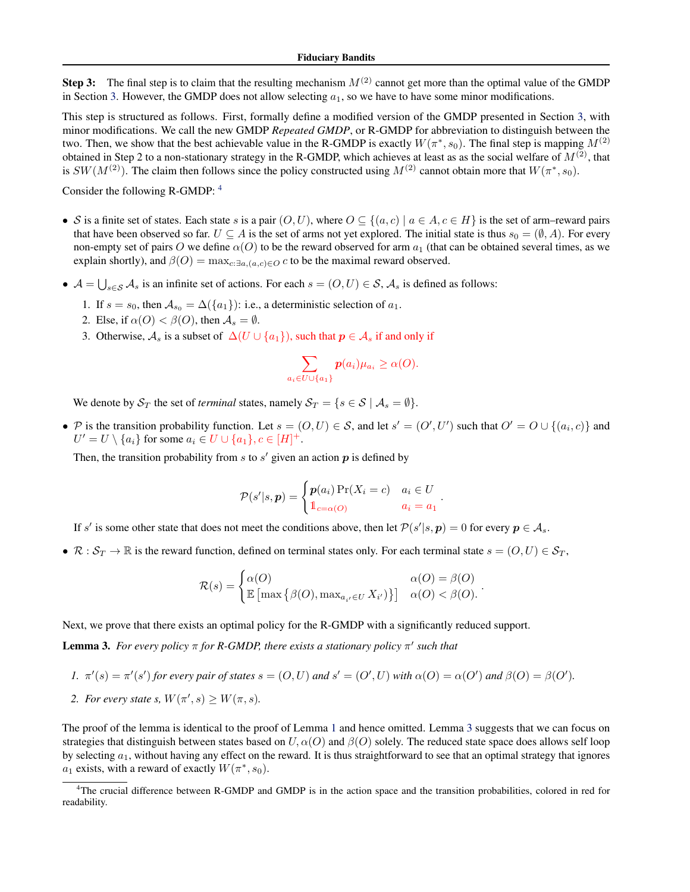Step 3: The final step is to claim that the resulting mechanism  $M^{(2)}$  cannot get more than the optimal value of the GMDP in Section [3.](#page-3-0) However, the GMDP does not allow selecting  $a_1$ , so we have to have some minor modifications.

This step is structured as follows. First, formally define a modified version of the GMDP presented in Section [3,](#page-3-0) with minor modifications. We call the new GMDP *Repeated GMDP*, or R-GMDP for abbreviation to distinguish between the two. Then, we show that the best achievable value in the R-GMDP is exactly  $W(\pi^*, s_0)$ . The final step is mapping  $M^{(2)}$ obtained in Step 2 to a non-stationary strategy in the R-GMDP, which achieves at least as as the social welfare of  $M^{(2)}$ , that is  $SW(M^{(2)})$ . The claim then follows since the policy constructed using  $M^{(2)}$  cannot obtain more that  $W(\pi^*, s_0)$ .

Consider the following R-GMDP: <sup>4</sup>

- S is a finite set of states. Each state s is a pair  $(O, U)$ , where  $O \subseteq \{(a, c) | a \in A, c \in H\}$  is the set of arm–reward pairs that have been observed so far.  $U \subseteq A$  is the set of arms not yet explored. The initial state is thus  $s_0 = (\emptyset, A)$ . For every non-empty set of pairs O we define  $\alpha(O)$  to be the reward observed for arm  $a_1$  (that can be obtained several times, as we explain shortly), and  $\beta(O) = \max_{c: \exists a, (a, c) \in O} c$  to be the maximal reward observed.
- $A = \bigcup_{s \in S} A_s$  is an infinite set of actions. For each  $s = (O, U) \in S$ ,  $A_s$  is defined as follows:
	- 1. If  $s = s_0$ , then  $A_{s_0} = \Delta({a_1})$ : i.e., a deterministic selection of  $a_1$ .
	- 2. Else, if  $\alpha(O) < \beta(O)$ , then  $\mathcal{A}_s = \emptyset$ .
	- 3. Otherwise,  $\mathcal{A}_s$  is a subset of  $\Delta(U \cup \{a_1\})$ , such that  $p \in \mathcal{A}_s$  if and only if

$$
\sum_{a_i \in U \cup \{a_1\}} p(a_i) \mu_{a_i} \geq \alpha(O).
$$

We denote by  $S_T$  the set of *terminal* states, namely  $S_T = \{s \in S \mid A_s = \emptyset\}.$ 

• P is the transition probability function. Let  $s = (0, U) \in S$ , and let  $s' = (O', U')$  such that  $O' = O \cup \{(a_i, c)\}$  and  $U' = U \setminus \{a_i\}$  for some  $a_i \in U \cup \{a_1\}, c \in [H]^+$ .

Then, the transition probability from  $s$  to  $s'$  given an action  $p$  is defined by

$$
\mathcal{P}(s'|s,\boldsymbol{p}) = \begin{cases} \boldsymbol{p}(a_i) \Pr(X_i = c) & a_i \in U \\ \mathbb{1}_{c=\alpha(O)} & a_i = a_1 \end{cases}.
$$

If s' is some other state that does not meet the conditions above, then let  $\mathcal{P}(s'|s, p) = 0$  for every  $p \in \mathcal{A}_s$ .

•  $\mathcal{R}: \mathcal{S}_T \to \mathbb{R}$  is the reward function, defined on terminal states only. For each terminal state  $s = (O, U) \in \mathcal{S}_T$ ,

$$
\mathcal{R}(s) = \begin{cases} \alpha(O) & \alpha(O) = \beta(O) \\ \mathbb{E} \left[ \max \{ \beta(O), \max_{a_{i'} \in U} X_{i'} \} \} \right] & \alpha(O) < \beta(O). \end{cases}
$$

.

Next, we prove that there exists an optimal policy for the R-GMDP with a significantly reduced support.

**Lemma 3.** For every policy  $\pi$  for R-GMDP, there exists a stationary policy  $\pi'$  such that

1. 
$$
\pi'(s) = \pi'(s')
$$
 for every pair of states  $s = (O, U)$  and  $s' = (O', U)$  with  $\alpha(O) = \alpha(O')$  and  $\beta(O) = \beta(O')$ .

2. For every state s,  $W(\pi', s) \geq W(\pi, s)$ .

The proof of the lemma is identical to the proof of Lemma [1](#page-5-0) and hence omitted. Lemma 3 suggests that we can focus on strategies that distinguish between states based on  $U, \alpha(O)$  and  $\beta(O)$  solely. The reduced state space does allows self loop by selecting  $a_1$ , without having any effect on the reward. It is thus straightforward to see that an optimal strategy that ignores  $a_1$  exists, with a reward of exactly  $W(\pi^*, s_0)$ .

<sup>4</sup>The crucial difference between R-GMDP and GMDP is in the action space and the transition probabilities, colored in red for readability.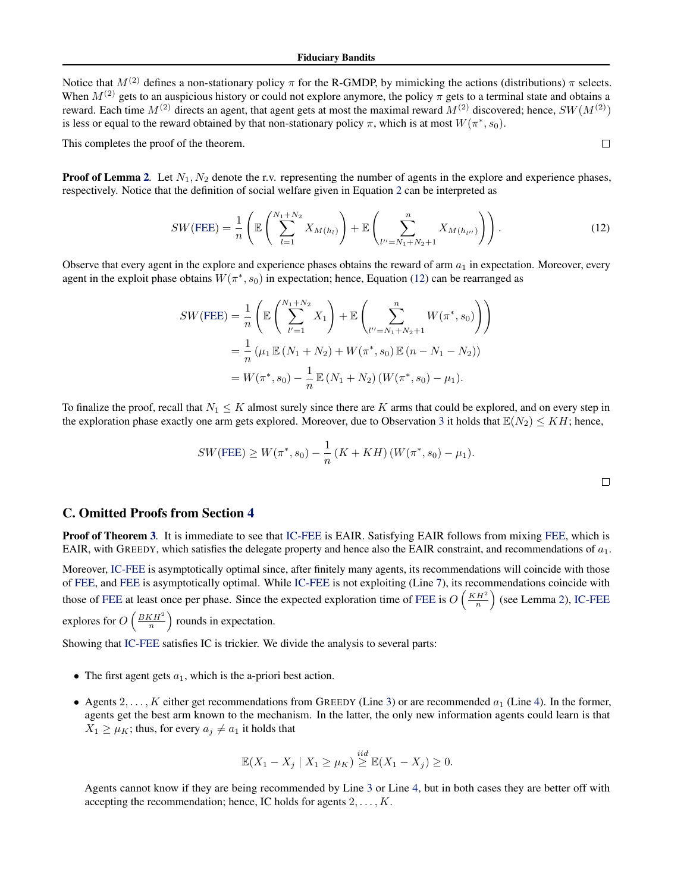Notice that  $M^{(2)}$  defines a non-stationary policy  $\pi$  for the R-GMDP, by mimicking the actions (distributions)  $\pi$  selects. When  $M^{(2)}$  gets to an auspicious history or could not explore anymore, the policy  $\pi$  gets to a terminal state and obtains a reward. Each time  $M^{(2)}$  directs an agent, that agent gets at most the maximal reward  $M^{(2)}$  discovered; hence,  $SW(M^{(2)})$ is less or equal to the reward obtained by that non-stationary policy  $\pi$ , which is at most  $W(\pi^*, s_0)$ .

This completes the proof of the theorem.

**Proof of Lemma [2](#page-6-0).** Let  $N_1, N_2$  denote the r.v. representing the number of agents in the explore and experience phases, respectively. Notice that the definition of social welfare given in Equation [2](#page-2-0) can be interpreted as

$$
SW(\text{FEE}) = \frac{1}{n} \left( \mathbb{E} \left( \sum_{l=1}^{N_1 + N_2} X_{M(h_l)} \right) + \mathbb{E} \left( \sum_{l''=N_1 + N_2 + 1}^{n} X_{M(h_{l''})} \right) \right). \tag{12}
$$

 $\Box$ 

Observe that every agent in the explore and experience phases obtains the reward of arm  $a_1$  in expectation. Moreover, every agent in the exploit phase obtains  $W(\pi^*, s_0)$  in expectation; hence, Equation (12) can be rearranged as

$$
SW(\text{FEE}) = \frac{1}{n} \left( \mathbb{E} \left( \sum_{l'=1}^{N_1 + N_2} X_1 \right) + \mathbb{E} \left( \sum_{l''=N_1 + N_2 + 1}^{n} W(\pi^*, s_0) \right) \right)
$$
  
= 
$$
\frac{1}{n} (\mu_1 \mathbb{E} (N_1 + N_2) + W(\pi^*, s_0) \mathbb{E} (n - N_1 - N_2))
$$
  
= 
$$
W(\pi^*, s_0) - \frac{1}{n} \mathbb{E} (N_1 + N_2) (W(\pi^*, s_0) - \mu_1).
$$

To finalize the proof, recall that  $N_1 \leq K$  almost surely since there are K arms that could be explored, and on every step in the exploration phase exactly one arm gets explored. Moreover, due to Observation [3](#page-22-0) it holds that  $\mathbb{E}(N_2) \leq KH$ ; hence,

$$
SW(\text{FEE}) \ge W(\pi^*, s_0) - \frac{1}{n} (K + KH) (W(\pi^*, s_0) - \mu_1).
$$

C. Omitted Proofs from Section [4](#page-6-0)

**Proof of Theorem [3](#page-7-0)**. It is immediate to see that [IC-FEE](#page-7-0) is EAIR. Satisfying EAIR follows from mixing [FEE,](#page-6-0) which is EAIR, with GREEDY, which satisfies the delegate property and hence also the EAIR constraint, and recommendations of  $a_1$ .

Moreover, [IC-FEE](#page-7-0) is asymptotically optimal since, after finitely many agents, its recommendations will coincide with those of [FEE,](#page-6-0) and [FEE](#page-6-0) is asymptotically optimal. While [IC-FEE](#page-7-0) is not exploiting (Line [7\)](#page-6-0), its recommendations coincide with those of [FEE](#page-6-0) at least once per phase. Since the expected exploration time of FEE is  $O\left(\frac{KH^2}{n}\right)$  (see Lemma [2\)](#page-6-0), [IC-FEE](#page-7-0) explores for  $O\left(\frac{BKH^2}{n}\right)$  rounds in expectation.

Showing that [IC-FEE](#page-7-0) satisfies IC is trickier. We divide the analysis to several parts:

- The first agent gets  $a_1$ , which is the a-priori best action.
- Agents 2, ..., K either get recommendations from GREEDY (Line [3\)](#page-6-0) or are recommended  $a_1$  (Line [4\)](#page-6-0). In the former, agents get the best arm known to the mechanism. In the latter, the only new information agents could learn is that  $X_1 \geq \mu_K$ ; thus, for every  $a_j \neq a_1$  it holds that

$$
\mathbb{E}(X_1 - X_j \mid X_1 \ge \mu_K) \stackrel{iid}{\ge} \mathbb{E}(X_1 - X_j) \ge 0.
$$

Agents cannot know if they are being recommended by Line [3](#page-6-0) or Line [4,](#page-6-0) but in both cases they are better off with accepting the recommendation; hence, IC holds for agents  $2, \ldots, K$ .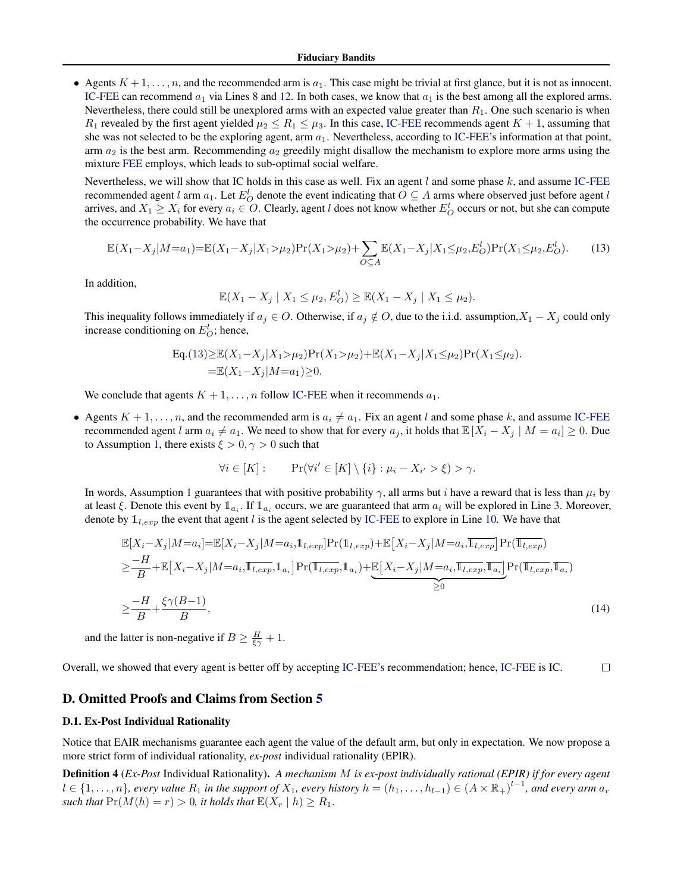<span id="page-18-0"></span>• Agents  $K + 1, \ldots, n$ , and the recommended arm is  $a_1$ . This case might be trivial at first glance, but it is not as innocent. [IC-FEE](#page-7-0) can recommend  $a_1$  via Lines [8](#page-6-0) and [12.](#page-6-0) In both cases, we know that  $a_1$  is the best among all the explored arms. Nevertheless, there could still be unexplored arms with an expected value greater than  $R_1$ . One such scenario is when  $R_1$  revealed by the first agent yielded  $\mu_2 \le R_1 \le \mu_3$ . In this case, [IC-FEE](#page-7-0) recommends agent  $K + 1$ , assuming that she was not selected to be the exploring agent, arm  $a_1$ . Nevertheless, according to [IC-FEE'](#page-7-0)s information at that point, arm  $a_2$  is the best arm. Recommending  $a_2$  greedily might disallow the mechanism to explore more arms using the mixture [FEE](#page-6-0) employs, which leads to sub-optimal social welfare.

Nevertheless, we will show that IC holds in this case as well. Fix an agent  $l$  and some phase  $k$ , and assume [IC-FEE](#page-7-0) recommended agent l arm  $a_1$ . Let  $E_O^l$  denote the event indicating that  $O \subseteq A$  arms where observed just before agent l arrives, and  $X_1 \ge X_i$  for every  $a_i \in O$ . Clearly, agent l does not know whether  $E_O^l$  occurs or not, but she can compute the occurrence probability. We have that

$$
\mathbb{E}(X_1 - X_j|M=a_1) = \mathbb{E}(X_1 - X_j|X_1 > \mu_2)\Pr(X_1 > \mu_2) + \sum_{O \subseteq A} \mathbb{E}(X_1 - X_j|X_1 \le \mu_2, E_O^l)\Pr(X_1 \le \mu_2, E_O^l).
$$
(13)

In addition,

$$
\mathbb{E}(X_1 - X_j \mid X_1 \le \mu_2, E_O^l) \ge \mathbb{E}(X_1 - X_j \mid X_1 \le \mu_2).
$$

This inequality follows immediately if  $a_j \in O$ . Otherwise, if  $a_j \notin O$ , due to the i.i.d. assumption, $X_1 - X_j$  could only increase conditioning on  $E_O^l$ ; hence,

Eq.(13) 
$$
\geq \mathbb{E}(X_1 - X_j | X_1 > \mu_2) \Pr(X_1 > \mu_2) + \mathbb{E}(X_1 - X_j | X_1 \leq \mu_2) \Pr(X_1 \leq \mu_2)
$$
.  
=  $\mathbb{E}(X_1 - X_j | M = a_1) \geq 0$ .

We conclude that agents  $K + 1, \ldots, n$  follow [IC-FEE](#page-7-0) when it recommends  $a_1$ .

• Agents  $K + 1, \ldots, n$ , and the recommended arm is  $a_i \neq a_1$ . Fix an agent l and some phase k, and assume [IC-FEE](#page-7-0) recommended agent l arm  $a_i \neq a_1$ . We need to show that for every  $a_j$ , it holds that  $\mathbb{E}[X_i - X_j | M = a_i] \geq 0$ . Due to Assumption [1,](#page-6-0) there exists  $\xi > 0, \gamma > 0$  such that

$$
\forall i \in [K]: \qquad \Pr(\forall i' \in [K] \setminus \{i\} : \mu_i - X_{i'} > \xi) > \gamma.
$$

In words, Assumption [1](#page-6-0) guarantees that with positive probability  $\gamma$ , all arms but i have a reward that is less than  $\mu_i$  by at least  $\xi$ . Denote this event by  $1_{a_i}$ . If  $1_{a_i}$  occurs, we are guaranteed that arm  $a_i$  will be explored in Line [3.](#page-6-0) Moreover, denote by  $\mathbb{1}_{l,exp}$  the event that agent l is the agent selected by [IC-FEE](#page-7-0) to explore in Line [10.](#page-6-0) We have that

$$
\mathbb{E}[X_i - X_j | M = a_i] = \mathbb{E}[X_i - X_j | M = a_i, \mathbb{1}_{l, exp}] \Pr(\mathbb{1}_{l, exp}) + \mathbb{E}[X_i - X_j | M = a_i, \overline{\mathbb{1}_{l, exp}}] \Pr(\overline{\mathbb{1}_{l, exp}})
$$
\n
$$
\geq \frac{-H}{B} + \mathbb{E}[X_i - X_j | M = a_i, \overline{\mathbb{1}_{l, exp}}, \mathbb{1}_{a_i}] \Pr(\overline{\mathbb{1}_{l, exp}}, \mathbb{1}_{a_i}) + \underbrace{\mathbb{E}[X_i - X_j | M = a_i, \overline{\mathbb{1}_{l, exp}}, \overline{\mathbb{1}_{a_i}}]}_{\geq 0} \Pr(\overline{\mathbb{1}_{l, exp}}, \overline{\mathbb{1}_{a_i}})
$$
\n
$$
\geq \frac{-H}{B} + \frac{\xi \gamma(B-1)}{B},
$$
\n(14)

and the latter is non-negative if  $B \ge \frac{H}{\xi \gamma} + 1$ .

Overall, we showed that every agent is better off by accepting [IC-FEE'](#page-7-0)s recommendation; hence, [IC-FEE](#page-7-0) is IC.  $\Box$ 

### D. Omitted Proofs and Claims from Section [5](#page-7-0)

#### D.1. Ex-Post Individual Rationality

Notice that EAIR mechanisms guarantee each agent the value of the default arm, but only in expectation. We now propose a more strict form of individual rationality, *ex-post* individual rationality (EPIR).

Definition 4 (*Ex-Post* Individual Rationality). *A mechanism* M *is ex-post individually rational (EPIR) if for every agent*  $l \in \{1,\ldots,n\}$ , every value  $R_1$  in the support of  $X_1$ , every history  $h=(h_1,\ldots,h_{l-1})\in (A\times\mathbb{R}_+)^{l-1}$ , and every arm  $a_r$ *such that*  $Pr(M(h) = r) > 0$ *, it holds that*  $\mathbb{E}(X_r | h) \ge R_1$ *.*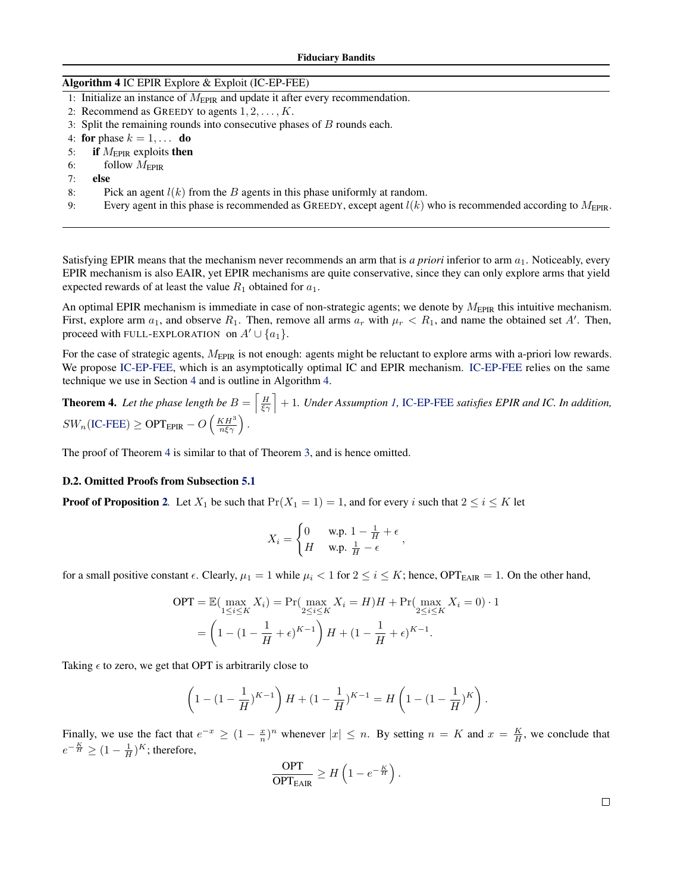| Algorithm 4 IC EPIR Explore & Exploit (IC-EP-FEE) |  |  |  |  |  |
|---------------------------------------------------|--|--|--|--|--|
|---------------------------------------------------|--|--|--|--|--|

- 1: Initialize an instance of  $M_{\text{EPIR}}$  and update it after every recommendation.
- 2: Recommend as GREEDY to agents  $1, 2, \ldots, K$ .
- 3: Split the remaining rounds into consecutive phases of B rounds each.

4: for phase  $k = 1, \ldots$  do

- 5: if  $M_{\text{EPIR}}$  exploits then
- 6: follow  $M_{\text{EPIR}}$
- 7: else
- 8: Pick an agent  $l(k)$  from the B agents in this phase uniformly at random.
- 9: Every agent in this phase is recommended as GREEDY, except agent  $l(k)$  who is recommended according to  $M_{\text{EPIR}}$ .

Satisfying EPIR means that the mechanism never recommends an arm that is *a priori* inferior to arm  $a_1$ . Noticeably, every EPIR mechanism is also EAIR, yet EPIR mechanisms are quite conservative, since they can only explore arms that yield expected rewards of at least the value  $R_1$  obtained for  $a_1$ .

An optimal EPIR mechanism is immediate in case of non-strategic agents; we denote by  $M_{\text{EPIR}}$  this intuitive mechanism. First, explore arm  $a_1$ , and observe  $R_1$ . Then, remove all arms  $a_r$  with  $\mu_r < R_1$ , and name the obtained set A'. Then, proceed with FULL-EXPLORATION on  $A' \cup \{a_1\}$ .

For the case of strategic agents,  $M_{\text{EPIR}}$  is not enough: agents might be reluctant to explore arms with a-priori low rewards. We propose IC-EP-FEE, which is an asymptotically optimal IC and EPIR mechanism. IC-EP-FEE relies on the same technique we use in Section [4](#page-6-0) and is outline in Algorithm 4.

**Theorem 4.** Let the phase length be  $B = \left[\frac{H}{\xi\gamma}\right] + 1$ . Under Assumption [1,](#page-6-0) IC-EP-FEE satisfies EPIR and IC. In addition,  $SW_n(\text{IC-FEE}) \ge \text{OPT}_{\text{EPIR}} - O\left(\frac{KH^3}{n\xi\gamma}\right).$  $SW_n(\text{IC-FEE}) \ge \text{OPT}_{\text{EPIR}} - O\left(\frac{KH^3}{n\xi\gamma}\right).$  $SW_n(\text{IC-FEE}) \ge \text{OPT}_{\text{EPIR}} - O\left(\frac{KH^3}{n\xi\gamma}\right).$ 

The proof of Theorem 4 is similar to that of Theorem [3,](#page-7-0) and is hence omitted.

#### D.2. Omitted Proofs from Subsection [5.1](#page-7-0)

**Proof of Proposition [2](#page-7-0).** Let  $X_1$  be such that  $Pr(X_1 = 1) = 1$ , and for every i such that  $2 \le i \le K$  let

$$
X_i = \begin{cases} 0 & \text{w.p. } 1 - \frac{1}{H} + \epsilon \\ H & \text{w.p. } \frac{1}{H} - \epsilon \end{cases}
$$

for a small positive constant  $\epsilon$ . Clearly,  $\mu_1 = 1$  while  $\mu_i < 1$  for  $2 \le i \le K$ ; hence, OPT<sub>EAIR</sub> = 1. On the other hand,

$$
OPT = \mathbb{E}(\max_{1 \le i \le K} X_i) = \Pr(\max_{2 \le i \le K} X_i = H)H + \Pr(\max_{2 \le i \le K} X_i = 0) \cdot 1
$$

$$
= \left(1 - (1 - \frac{1}{H} + \epsilon)^{K-1}\right)H + (1 - \frac{1}{H} + \epsilon)^{K-1}.
$$

Taking  $\epsilon$  to zero, we get that OPT is arbitrarily close to

$$
\left(1 - (1 - \frac{1}{H})^{K-1}\right)H + (1 - \frac{1}{H})^{K-1} = H\left(1 - (1 - \frac{1}{H})^{K}\right).
$$

Finally, we use the fact that  $e^{-x} \ge (1 - \frac{x}{n})^n$  whenever  $|x| \le n$ . By setting  $n = K$  and  $x = \frac{K}{H}$ , we conclude that  $e^{-\frac{K}{H}} \geq (1 - \frac{1}{H})^K$ ; therefore,

$$
\frac{\text{OPT}}{\text{OPT}_{\text{EAIR}}} \ge H\left(1 - e^{-\frac{K}{H}}\right).
$$

 $\Box$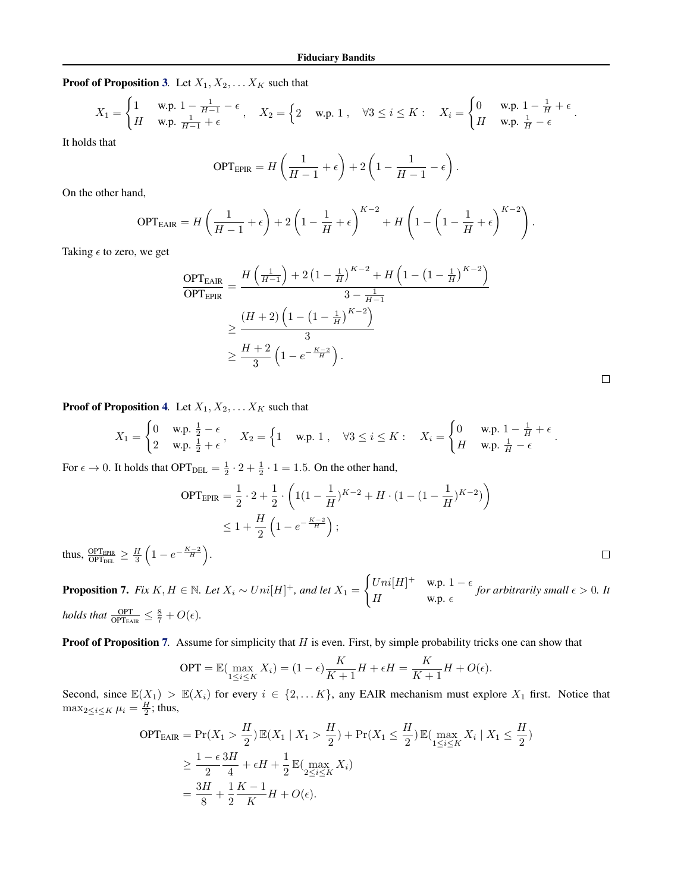<span id="page-20-0"></span>**Proof of Proposition [3](#page-8-0).** Let  $X_1, X_2, \ldots X_K$  such that

$$
X_1 = \begin{cases} 1 & \text{w.p. } 1 - \frac{1}{H-1} - \epsilon \\ H & \text{w.p. } \frac{1}{H-1} + \epsilon \end{cases}, \quad X_2 = \begin{cases} 2 & \text{w.p. } 1 \\, \quad \forall 3 \le i \le K \\ \end{cases}, \quad \forall 3 \le i \le K \\ \vdots \\ X_i = \begin{cases} 0 & \text{w.p. } 1 - \frac{1}{H} + \epsilon \\ H & \text{w.p. } \frac{1}{H} - \epsilon \end{cases}.
$$

It holds that

$$
\text{OPT}_{\text{EPIR}} = H\left(\frac{1}{H-1} + \epsilon\right) + 2\left(1 - \frac{1}{H-1} - \epsilon\right).
$$

On the other hand,

$$
\text{OPT}_{\text{EAR}} = H\left(\frac{1}{H-1} + \epsilon\right) + 2\left(1 - \frac{1}{H} + \epsilon\right)^{K-2} + H\left(1 - \left(1 - \frac{1}{H} + \epsilon\right)^{K-2}\right).
$$

Taking  $\epsilon$  to zero, we get

$$
\frac{\text{OPT}_{\text{EAIR}}}{\text{OPT}_{\text{EPIR}}} = \frac{H\left(\frac{1}{H-1}\right) + 2\left(1 - \frac{1}{H}\right)^{K-2} + H\left(1 - \left(1 - \frac{1}{H}\right)^{K-2}\right)}{3 - \frac{1}{H-1}}
$$
\n
$$
\geq \frac{(H+2)\left(1 - \left(1 - \frac{1}{H}\right)^{K-2}\right)}{3}
$$
\n
$$
\geq \frac{H+2}{3}\left(1 - e^{-\frac{K-2}{H}}\right).
$$

**Proof of Proposition [4](#page-8-0).** Let  $X_1, X_2, \ldots X_K$  such that

$$
X_1 = \begin{cases} 0 & \text{w.p. } \frac{1}{2} - \epsilon \\ 2 & \text{w.p. } \frac{1}{2} + \epsilon \end{cases}, \quad X_2 = \begin{cases} 1 & \text{w.p. } 1 \,, \quad \forall 3 \leq i \leq K : \quad X_i = \begin{cases} 0 & \text{w.p. } 1 - \frac{1}{H} + \epsilon \\ H & \text{w.p. } \frac{1}{H} - \epsilon \end{cases}.
$$

For  $\epsilon \to 0$ . It holds that OPT<sub>DEL</sub> =  $\frac{1}{2} \cdot 2 + \frac{1}{2} \cdot 1 = 1.5$ . On the other hand,

$$
OPT_{EPIR} = \frac{1}{2} \cdot 2 + \frac{1}{2} \cdot \left( 1\left(1 - \frac{1}{H}\right)^{K-2} + H \cdot \left(1 - \left(1 - \frac{1}{H}\right)^{K-2}\right) \right)
$$
  
 
$$
\leq 1 + \frac{H}{2} \left(1 - e^{-\frac{K-2}{H}}\right);
$$
  

$$
\xrightarrow[K-2]
$$

 $\Box$ 

 $\Box$ 

thus,  $\frac{\text{OPT}_{\text{EPIR}}}{\text{OPT}_{\text{DEL}}} \geq \frac{H}{3} \left( 1 - e^{-\frac{K-2}{H}} \right)$ .

**Proposition 7.** *Fix*  $K, H \in \mathbb{N}$ *. Let*  $X_i \sim Uni[H]^+$ *, and let*  $X_1 =$  $\int Uni[H]^{+}$  w.p.  $1 - \epsilon$  $H$  w.p.  $\epsilon$  for arbitrarily small  $\epsilon > 0$ . It *holds that*  $\frac{OPT}{OPT_{EAIR}} \leq \frac{8}{7} + O(\epsilon)$ *.* 

**Proof of Proposition** 7. Assume for simplicity that H is even. First, by simple probability tricks one can show that

$$
\text{OPT} = \mathbb{E}(\max_{1 \le i \le K} X_i) = (1 - \epsilon) \frac{K}{K+1} H + \epsilon H = \frac{K}{K+1} H + O(\epsilon).
$$

Second, since  $\mathbb{E}(X_1) > \mathbb{E}(X_i)$  for every  $i \in \{2, ..., K\}$ , any EAIR mechanism must explore  $X_1$  first. Notice that  $\max_{2 \leq i \leq K} \mu_i = \frac{H}{2}$ ; thus,

$$
\begin{split} \text{OPT}_{\text{EAIR}} &= \Pr(X_1 > \frac{H}{2}) \mathbb{E}(X_1 \mid X_1 > \frac{H}{2}) + \Pr(X_1 \le \frac{H}{2}) \mathbb{E}(\max_{1 \le i \le K} X_i \mid X_1 \le \frac{H}{2}) \\ &\ge \frac{1 - \epsilon}{2} \frac{3H}{4} + \epsilon H + \frac{1}{2} \mathbb{E}(\max_{2 \le i \le K} X_i) \\ &= \frac{3H}{8} + \frac{1}{2} \frac{K - 1}{K} H + O(\epsilon). \end{split}
$$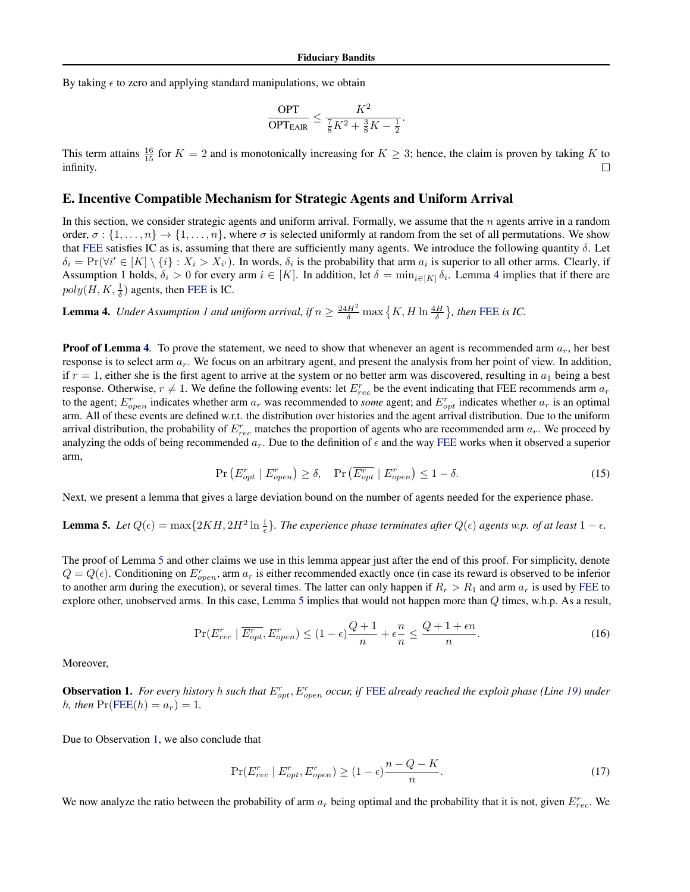<span id="page-21-0"></span>By taking  $\epsilon$  to zero and applying standard manipulations, we obtain

$$
\frac{\text{OPT}}{\text{OPT}_{\text{EAIR}}} \le \frac{K^2}{\frac{7}{8}K^2 + \frac{3}{8}K - \frac{1}{2}}.
$$

This term attains  $\frac{16}{15}$  for  $K = 2$  and is monotonically increasing for  $K \geq 3$ ; hence, the claim is proven by taking K to infinity.

#### E. Incentive Compatible Mechanism for Strategic Agents and Uniform Arrival

In this section, we consider strategic agents and uniform arrival. Formally, we assume that the  $n$  agents arrive in a random order,  $\sigma : \{1, \ldots, n\} \to \{1, \ldots, n\}$ , where  $\sigma$  is selected uniformly at random from the set of all permutations. We show that [FEE](#page-6-0) satisfies IC as is, assuming that there are sufficiently many agents. We introduce the following quantity  $\delta$ . Let  $\delta_i = \Pr(\forall i' \in [K] \setminus \{i\} : X_i > X_{i'}).$  In words,  $\delta_i$  is the probability that arm  $a_i$  is superior to all other arms. Clearly, if Assumption [1](#page-6-0) holds,  $\delta_i > 0$  for every arm  $i \in [K]$ . In addition, let  $\delta = \min_{i \in [K]} \delta_i$ . Lemma 4 implies that if there are  $poly(H, K, \frac{1}{\delta})$  agents, then [FEE](#page-6-0) is IC.

**Lemma 4.** *Under Assumption [1](#page-6-0) and uniform arrival, if*  $n \geq \frac{24H^2}{\delta} \max\left\{K, H \ln \frac{4H}{\delta}\right\}$ , then [FEE](#page-6-0) is IC.

**Proof of Lemma 4.** To prove the statement, we need to show that whenever an agent is recommended arm  $a_r$ , her best response is to select arm  $a_r$ . We focus on an arbitrary agent, and present the analysis from her point of view. In addition, if  $r = 1$ , either she is the first agent to arrive at the system or no better arm was discovered, resulting in  $a_1$  being a best response. Otherwise,  $r \neq 1$ . We define the following events: let  $E_{rec}^r$  be the event indicating that FEE recommends arm  $a_r$ to the agent;  $E_{open}^r$  indicates whether arm  $a_r$  was recommended to *some* agent; and  $E_{opt}^r$  indicates whether  $a_r$  is an optimal arm. All of these events are defined w.r.t. the distribution over histories and the agent arrival distribution. Due to the uniform arrival distribution, the probability of  $E_{rec}^r$  matches the proportion of agents who are recommended arm  $a_r$ . We proceed by analyzing the odds of being recommended  $a_r$ . Due to the definition of  $\epsilon$  and the way [FEE](#page-6-0) works when it observed a superior arm,

$$
\Pr\left(E_{opt}^r \mid E_{open}^r\right) \ge \delta, \quad \Pr\left(\overline{E_{opt}^r} \mid E_{open}^r\right) \le 1 - \delta. \tag{15}
$$

Next, we present a lemma that gives a large deviation bound on the number of agents needed for the experience phase.

**Lemma 5.** Let  $Q(\epsilon) = \max\{2KH, 2H^2 \ln \frac{1}{\epsilon}\}\$ . The experience phase terminates after  $Q(\epsilon)$  agents w.p. of at least  $1 - \epsilon$ .

The proof of Lemma 5 and other claims we use in this lemma appear just after the end of this proof. For simplicity, denote  $Q = Q(\epsilon)$ . Conditioning on  $E_{open}^r$ , arm  $a_r$  is either recommended exactly once (in case its reward is observed to be inferior to another arm during the execution), or several times. The latter can only happen if  $R_r > R_1$  and arm  $a_r$  is used by [FEE](#page-6-0) to explore other, unobserved arms. In this case, Lemma 5 implies that would not happen more than Q times, w.h.p. As a result,

$$
\Pr(E_{rec}^r \mid \overline{E_{opt}^r}, E_{open}^r) \le (1 - \epsilon) \frac{Q + 1}{n} + \epsilon \frac{n}{n} \le \frac{Q + 1 + \epsilon n}{n}.
$$
\n(16)

Moreover,

**Observation 1.** For every history h such that  $E_{opt}^r$ ,  $E_{open}^r$  occur, if [FEE](#page-6-0) already reached the exploit phase (Line [19\)](#page-6-0) under *h*, then  $Pr(FEE(h) = a_r) = 1$  $Pr(FEE(h) = a_r) = 1$  $Pr(FEE(h) = a_r) = 1$ .

Due to Observation 1, we also conclude that

$$
\Pr(E_{rec}^r \mid E_{opt}^r, E_{open}^r) \ge (1 - \epsilon) \frac{n - Q - K}{n}.
$$
\n(17)

We now analyze the ratio between the probability of arm  $a_r$  being optimal and the probability that it is not, given  $E_{rec}^r$ . We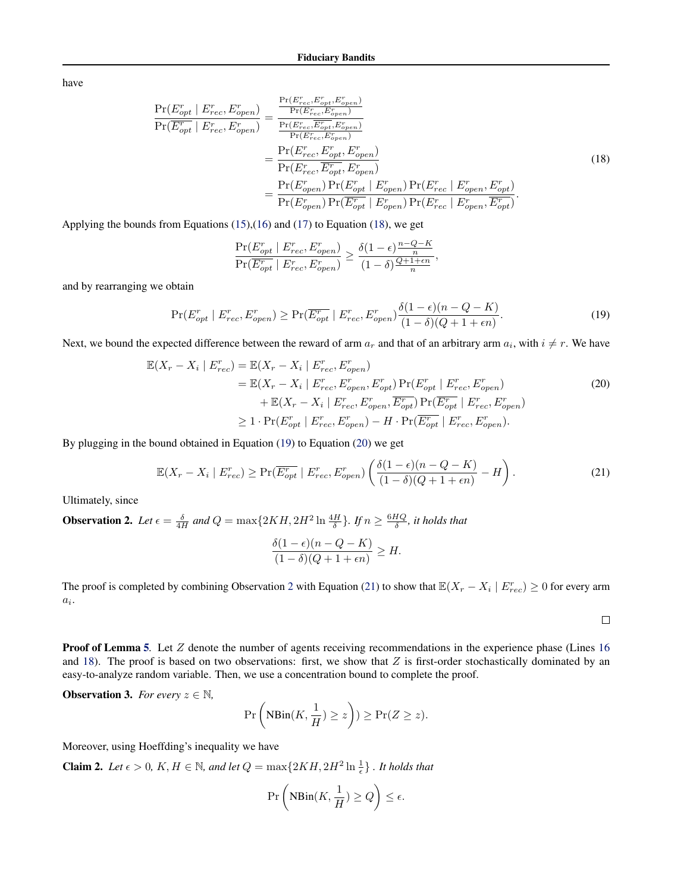<span id="page-22-0"></span>have

$$
\frac{\Pr(E_{opt}^r \mid E_{rec}^r, E_{open}^r)}{\Pr(E_{opt}^r \mid E_{rec}, E_{open}^r)} = \frac{\frac{\Pr(E_{rec}^r, E_{opt}^r, E_{open}^r)}{\Pr(E_{rec}^r, E_{open}^r)}}{\frac{\Pr(E_{rec}^r, E_{opt}^r, E_{open}^r)}{\Pr(E_{rec}, E_{open}^r)}}{\frac{\Pr(E_{rec}^r, E_{opt}^r, E_{open}^r)}{\Pr(E_{rec}, E_{opt}^r, E_{open}^r)}}\n= \frac{\Pr(E_{rec}^r, E_{opt}^r, E_{open}^r)}{\Pr(E_{rec}^r, E_{opt}^r, E_{open}^r)}\n= \frac{\Pr(E_{open}^r) \Pr(E_{opt}^r \mid E_{open}^r) \Pr(E_{rec}^r \mid E_{open}^r, E_{opt}^r)}{\Pr(E_{open}^r) \Pr(E_{opt}^r \mid E_{open}^r) \Pr(E_{rec}^r \mid E_{open}^r, E_{opt}^r)}.
$$
\n(18)

Applying the bounds from Equations [\(15\)](#page-21-0),[\(16\)](#page-21-0) and [\(17\)](#page-21-0) to Equation (18), we get

$$
\frac{\Pr(E_{opt}^r \mid E_{rec}^r, E_{open}^r)}{\Pr(\overline{E_{opt}^r} \mid E_{rec}^r, E_{open}^r)} \ge \frac{\delta(1 - \epsilon) \frac{n - Q - K}{n}}{(1 - \delta) \frac{Q + 1 + \epsilon n}{n}}
$$

and by rearranging we obtain

$$
\Pr(E_{opt}^r \mid E_{rec}^r, E_{open}^r) \ge \Pr(\overline{E_{opt}^r} \mid E_{rec}^r, E_{open}^r) \frac{\delta(1 - \epsilon)(n - Q - K)}{(1 - \delta)(Q + 1 + \epsilon n)}.
$$
\n(19)

,

Next, we bound the expected difference between the reward of arm  $a_r$  and that of an arbitrary arm  $a_i$ , with  $i \neq r$ . We have

$$
\mathbb{E}(X_r - X_i \mid E_{rec}^r) = \mathbb{E}(X_r - X_i \mid E_{rec}^r, E_{open}^r)
$$
\n
$$
= \mathbb{E}(X_r - X_i \mid E_{rec}^r, E_{open}^r, E_{opt}^r) \Pr(E_{opt}^r \mid E_{rec}^r, E_{open}^r)
$$
\n
$$
+ \mathbb{E}(X_r - X_i \mid E_{rec}^r, E_{open}^r, \overline{E_{opt}^r}) \Pr(\overline{E_{opt}^r} \mid E_{rec}^r, E_{open}^r)
$$
\n
$$
\geq 1 \cdot \Pr(E_{opt}^r \mid E_{rec}^r, E_{open}^r) - H \cdot \Pr(\overline{E_{opt}^r} \mid E_{rec}^r, E_{open}^r).
$$
\n(20)

By plugging in the bound obtained in Equation (19) to Equation (20) we get

$$
\mathbb{E}(X_r - X_i \mid E_{rec}^r) \ge \Pr(\overline{E_{opt}^r} \mid E_{rec}^r, E_{open}^r) \left(\frac{\delta(1 - \epsilon)(n - Q - K)}{(1 - \delta)(Q + 1 + \epsilon n)} - H\right). \tag{21}
$$

Ultimately, since

**Observation 2.** Let  $\epsilon = \frac{\delta}{4H}$  and  $Q = \max\{2KH, 2H^2 \ln \frac{4H}{\delta}\}\$ . If  $n \ge \frac{6HQ}{\delta}$ , it holds that

$$
\frac{\delta(1-\epsilon)(n-Q-K)}{(1-\delta)(Q+1+\epsilon n)} \geq H.
$$

The proof is completed by combining Observation 2 with Equation (21) to show that  $\mathbb{E}(X_r - X_i \mid E_{rec}^r) \ge 0$  for every arm  $a_i$ .

 $\Box$ 

**Proof of Lemma [5](#page-21-0).** Let Z denote the number of agents receiving recommendations in the experience phase (Lines [16](#page-6-0) and [18\)](#page-6-0). The proof is based on two observations: first, we show that  $Z$  is first-order stochastically dominated by an easy-to-analyze random variable. Then, we use a concentration bound to complete the proof.

**Observation 3.** *For every*  $z \in \mathbb{N}$ *,* 

$$
\Pr\left(\text{NBin}(K, \frac{1}{H}) \geq z\right)) \geq \Pr(Z \geq z).
$$

Moreover, using Hoeffding's inequality we have

**Claim 2.** Let  $\epsilon > 0$ , K, H  $\in \mathbb{N}$ , and let  $Q = \max\{2KH, 2H^2 \ln \frac{1}{\epsilon}\}\$ . It holds that

$$
\Pr\left(\text{NBin}(K, \frac{1}{H}) \ge Q\right) \le \epsilon.
$$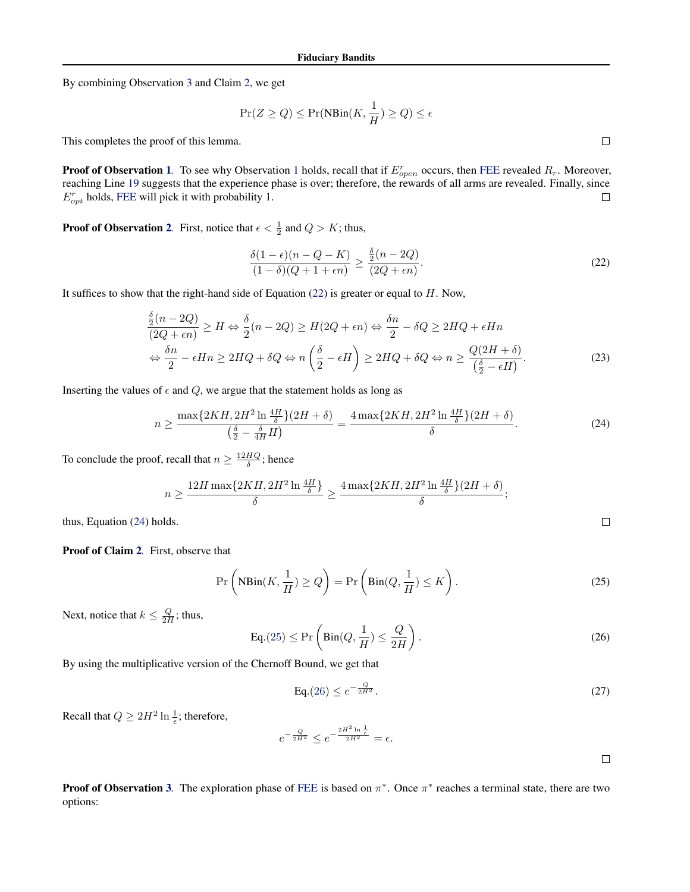By combining Observation [3](#page-22-0) and Claim [2,](#page-22-0) we get

$$
\Pr(Z \ge Q) \le \Pr(\text{NBin}(K, \frac{1}{H}) \ge Q) \le \epsilon
$$

This completes the proof of this lemma.

**Proof of Observation [1](#page-21-0).** To see why Observation 1 holds, recall that if  $E_{open}^r$  occurs, then [FEE](#page-6-0) revealed  $R_r$ . Moreover, reaching Line [19](#page-6-0) suggests that the experience phase is over; therefore, the rewards of all arms are revealed. Finally, since  $E_{opt}^r$  holds, [FEE](#page-6-0) will pick it with probability 1.  $\Box$ 

**Proof of Observation [2](#page-22-0).** First, notice that  $\epsilon < \frac{1}{2}$  and  $Q > K$ ; thus,

$$
\frac{\delta(1-\epsilon)(n-Q-K)}{(1-\delta)(Q+1+\epsilon n)} \ge \frac{\frac{\delta}{2}(n-2Q)}{(2Q+\epsilon n)}.\tag{22}
$$

It suffices to show that the right-hand side of Equation  $(22)$  is greater or equal to  $H$ . Now,

$$
\frac{\delta}{2}(n-2Q) \ge H \Leftrightarrow \frac{\delta}{2}(n-2Q) \ge H(2Q + \epsilon n) \Leftrightarrow \frac{\delta n}{2} - \delta Q \ge 2HQ + \epsilon Hn
$$
  

$$
\Leftrightarrow \frac{\delta n}{2} - \epsilon Hn \ge 2HQ + \delta Q \Leftrightarrow n\left(\frac{\delta}{2} - \epsilon H\right) \ge 2HQ + \delta Q \Leftrightarrow n \ge \frac{Q(2H + \delta)}{\left(\frac{\delta}{2} - \epsilon H\right)}.
$$
(23)

Inserting the values of  $\epsilon$  and  $Q$ , we argue that the statement holds as long as

$$
n \ge \frac{\max\{2KH, 2H^2 \ln \frac{4H}{\delta}\}(2H+\delta)}{\left(\frac{\delta}{2} - \frac{\delta}{4H}H\right)} = \frac{4\max\{2KH, 2H^2 \ln \frac{4H}{\delta}\}(2H+\delta)}{\delta}.
$$
 (24)

To conclude the proof, recall that  $n \geq \frac{12HQ}{\delta}$ ; hence

$$
n \ge \frac{12H \max\{2KH, 2H^2 \ln \frac{4H}{\delta}\}}{\delta} \ge \frac{4 \max\{2KH, 2H^2 \ln \frac{4H}{\delta}\}(2H + \delta)}{\delta};
$$

thus, Equation (24) holds.

Proof of Claim [2](#page-22-0)*.* First, observe that

$$
\Pr\left(\text{NBin}(K, \frac{1}{H}) \ge Q\right) = \Pr\left(\text{Bin}(Q, \frac{1}{H}) \le K\right). \tag{25}
$$

Next, notice that  $k \leq \frac{Q}{2H}$ ; thus,

$$
\text{Eq.}(25) \le \Pr\left(\text{Bin}(Q, \frac{1}{H}) \le \frac{Q}{2H}\right). \tag{26}
$$

By using the multiplicative version of the Chernoff Bound, we get that

$$
\text{Eq.}(26) \le e^{-\frac{Q}{2H^2}}.\tag{27}
$$

Recall that  $Q \geq 2H^2 \ln \frac{1}{\epsilon}$ ; therefore,

$$
e^{-\frac{Q}{2H^2}} \leq e^{-\frac{2H^2 \ln\frac{1}{\epsilon}}{2H^2}} = \epsilon.
$$

 $\Box$ 

 $\Box$ 

**Proof of Observation [3](#page-22-0).** The exploration phase of [FEE](#page-6-0) is based on  $\pi^*$ . Once  $\pi^*$  reaches a terminal state, there are two options:

 $\Box$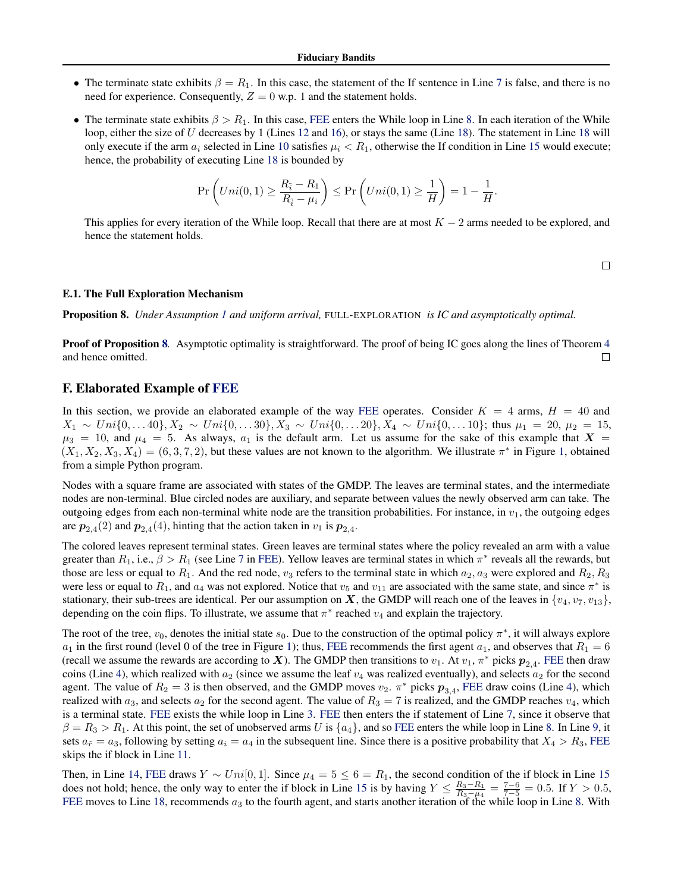- <span id="page-24-0"></span>• The terminate state exhibits  $\beta = R_1$ . In this case, the statement of the If sentence in Line [7](#page-6-0) is false, and there is no need for experience. Consequently,  $Z = 0$  w.p. 1 and the statement holds.
- The terminate state exhibits  $\beta > R_1$ . In this case, [FEE](#page-6-0) enters the While loop in Line [8.](#page-6-0) In each iteration of the While loop, either the size of U decreases by 1 (Lines [12](#page-6-0) and [16\)](#page-6-0), or stays the same (Line [18\)](#page-6-0). The statement in Line [18](#page-6-0) will only execute if the arm  $a_i$  selected in Line [10](#page-6-0) satisfies  $\mu_i < R_1$ , otherwise the If condition in Line [15](#page-6-0) would execute; hence, the probability of executing Line [18](#page-6-0) is bounded by

$$
\Pr\left( Uni(0,1) \ge \frac{R_{\tilde{i}} - R_1}{R_{\tilde{i}} - \mu_i} \right) \le \Pr\left( Uni(0,1) \ge \frac{1}{H} \right) = 1 - \frac{1}{H}
$$

This applies for every iteration of the While loop. Recall that there are at most  $K - 2$  arms needed to be explored, and hence the statement holds.

 $\Box$ 

.

#### E.1. The Full Exploration Mechanism

Proposition 8. *Under Assumption [1](#page-6-0) and uniform arrival,* FULL-EXPLORATION *is IC and asymptotically optimal.*

**Proof of Proposition 8.** Asymptotic optimality is straightforward. The proof of being IC goes along the lines of Theorem [4](#page-21-0) and hence omitted.  $\Box$ 

### F. Elaborated Example of [FEE](#page-6-0)

In this section, we provide an elaborated example of the way [FEE](#page-6-0) operates. Consider  $K = 4$  arms,  $H = 40$  and  $X_1 \sim Uni\{0, \ldots 40\}, X_2 \sim Uni\{0, \ldots 30\}, X_3 \sim Uni\{0, \ldots 20\}, X_4 \sim Uni\{0, \ldots 10\}$ ; thus  $\mu_1 = 20, \mu_2 = 15,$  $\mu_3 = 10$ , and  $\mu_4 = 5$ . As always,  $a_1$  is the default arm. Let us assume for the sake of this example that  $X =$  $(X_1, X_2, X_3, X_4) = (6, 3, 7, 2)$  $(X_1, X_2, X_3, X_4) = (6, 3, 7, 2)$  $(X_1, X_2, X_3, X_4) = (6, 3, 7, 2)$ , but these values are not known to the algorithm. We illustrate  $\pi^*$  in Figure 1, obtained from a simple Python program.

Nodes with a square frame are associated with states of the GMDP. The leaves are terminal states, and the intermediate nodes are non-terminal. Blue circled nodes are auxiliary, and separate between values the newly observed arm can take. The outgoing edges from each non-terminal white node are the transition probabilities. For instance, in  $v_1$ , the outgoing edges are  $p_{2,4}(2)$  and  $p_{2,4}(4)$ , hinting that the action taken in  $v_1$  is  $p_{2,4}$ .

The colored leaves represent terminal states. Green leaves are terminal states where the policy revealed an arm with a value greater than  $R_1$ , i.e.,  $\beta > R_1$  (see Line [7](#page-6-0) in [FEE\)](#page-6-0). Yellow leaves are terminal states in which  $\pi^*$  reveals all the rewards, but those are less or equal to  $R_1$ . And the red node,  $v_3$  refers to the terminal state in which  $a_2$ ,  $a_3$  were explored and  $R_2$ ,  $R_3$ were less or equal to  $R_1$ , and  $a_4$  was not explored. Notice that  $v_5$  and  $v_{11}$  are associated with the same state, and since  $\pi^*$  is stationary, their sub-trees are identical. Per our assumption on X, the GMDP will reach one of the leaves in  $\{v_4, v_7, v_{13}\}$ , depending on the coin flips. To illustrate, we assume that  $\pi^*$  reached  $v_4$  and explain the trajectory.

The root of the tree,  $v_0$ , denotes the initial state  $s_0$ . Due to the construction of the optimal policy  $\pi^*$ , it will always explore  $a_1$  in the first round (level 0 of the tree in Figure [1\)](#page-25-0); thus, [FEE](#page-6-0) recommends the first agent  $a_1$ , and observes that  $R_1 = 6$ (recall we assume the rewards are according to X). The GMDP then transitions to  $v_1$ . At  $v_1$ ,  $\pi^*$  picks  $p_{2,4}$ . [FEE](#page-6-0) then draw coins (Line [4\)](#page-6-0), which realized with  $a_2$  (since we assume the leaf  $v_4$  was realized eventually), and selects  $a_2$  for the second agent. The value of  $R_2 = 3$  is then observed, and the GMDP moves  $v_2$ .  $\pi^*$  picks  $p_{3,4}$ , [FEE](#page-6-0) draw coins (Line [4\)](#page-6-0), which realized with  $a_3$ , and selects  $a_2$  for the second agent. The value of  $R_3 = 7$  is realized, and the GMDP reaches  $v_4$ , which is a terminal state. [FEE](#page-6-0) exists the while loop in Line [3.](#page-6-0) [FEE](#page-6-0) then enters the if statement of Line [7,](#page-6-0) since it observe that  $\beta = R_3 > R_1$ . At this point, the set of unobserved arms U is  $\{a_4\}$ , and so [FEE](#page-6-0) enters the while loop in Line [8.](#page-6-0) In Line [9,](#page-6-0) it sets  $a_{\tilde{r}} = a_3$ , following by setting  $a_i = a_4$  in the subsequent line. Since there is a positive probability that  $X_4 > R_3$ , [FEE](#page-6-0) skips the if block in Line [11.](#page-6-0)

Then, in Line [14,](#page-6-0) [FEE](#page-6-0) draws  $Y \sim Uni[0, 1]$ . Since  $\mu_4 = 5 \le 6 = R_1$ , the second condition of the if block in Line [15](#page-6-0) does not hold; hence, the only way to enter the if block in Line [15](#page-6-0) is by having  $Y \leq \frac{R_3 - R_1}{R_3 - \mu_4} = \frac{7 - 6}{7 - 5} = 0.5$ . If  $Y > 0.5$ , [FEE](#page-6-0) moves to Line [18,](#page-6-0) recommends  $a_3$  to the fourth agent, and starts another iteration of the while loop in Line [8.](#page-6-0) With